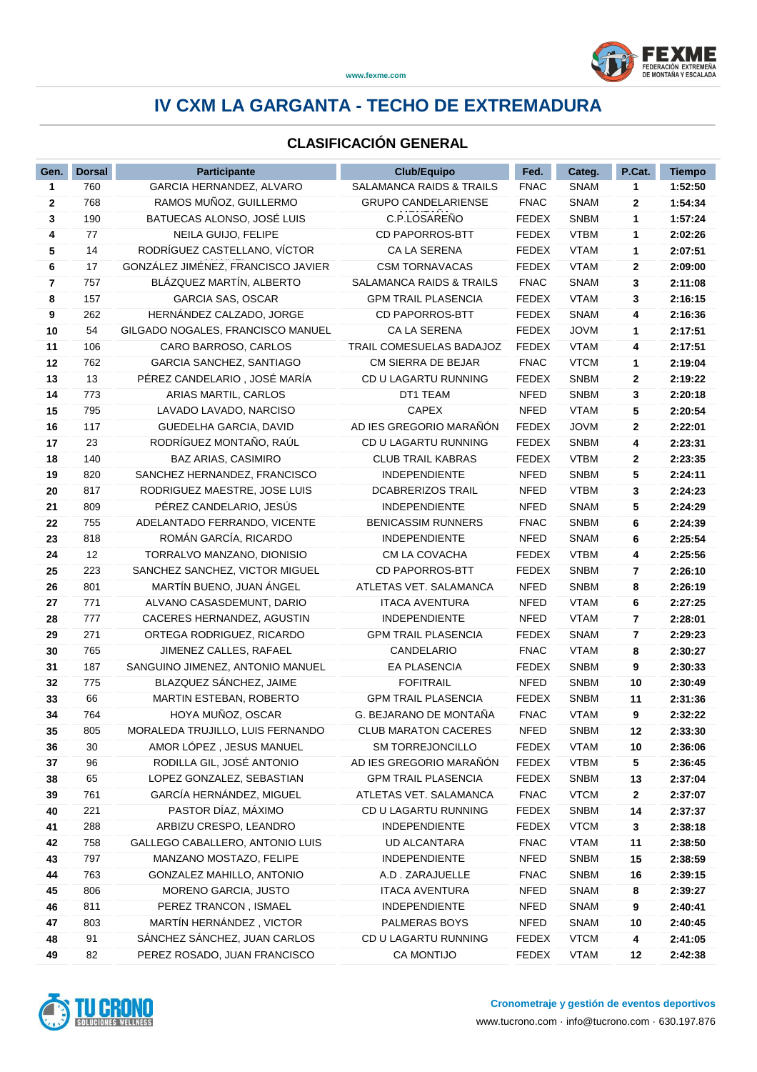

### **CLASIFICACIÓN GENERAL**

| Gen.     | <b>Dorsal</b> | <b>Participante</b>                               | <b>Club/Equipo</b>             | Fed.                | Categ.                     | P.Cat.  | <b>Tiempo</b>      |
|----------|---------------|---------------------------------------------------|--------------------------------|---------------------|----------------------------|---------|--------------------|
| 1        | 760           | GARCIA HERNANDEZ, ALVARO                          | SALAMANCA RAIDS & TRAILS       | <b>FNAC</b>         | <b>SNAM</b>                | 1       | 1:52:50            |
| 2        | 768           | RAMOS MUÑOZ, GUILLERMO                            | <b>GRUPO CANDELARIENSE</b>     | <b>FNAC</b>         | <b>SNAM</b>                | 2       | 1:54:34            |
| 3        | 190           | BATUECAS ALONSO, JOSÉ LUIS                        | C.P.LOSAREÑO                   | FEDEX               | <b>SNBM</b>                | 1       | 1:57:24            |
| 4        | 77            | NEILA GUIJO, FELIPE                               | <b>CD PAPORROS-BTT</b>         | <b>FEDEX</b>        | <b>VTBM</b>                | 1       | 2:02:26            |
| 5        | 14            | RODRÍGUEZ CASTELLANO, VÍCTOR                      | <b>CA LA SERENA</b>            | <b>FEDEX</b>        | <b>VTAM</b>                | 1       | 2:07:51            |
| 6        | 17            | GONZÁLEZ JIMÉNEZ, FRANCISCO JAVIER                | <b>CSM TORNAVACAS</b>          | <b>FEDEX</b>        | <b>VTAM</b>                | 2       | 2:09:00            |
| 7        | 757           | BLÁZQUEZ MARTÍN, ALBERTO                          | SALAMANCA RAIDS & TRAILS       | <b>FNAC</b>         | <b>SNAM</b>                | 3       | 2:11:08            |
| 8        | 157           | <b>GARCIA SAS, OSCAR</b>                          | <b>GPM TRAIL PLASENCIA</b>     | <b>FEDEX</b>        | <b>VTAM</b>                | 3       | 2:16:15            |
| 9        | 262           | HERNÁNDEZ CALZADO, JORGE                          | <b>CD PAPORROS-BTT</b>         | <b>FEDEX</b>        | <b>SNAM</b>                | 4       | 2:16:36            |
| 10       | 54            | GILGADO NOGALES, FRANCISCO MANUEL                 | CA LA SERENA                   | <b>FEDEX</b>        | <b>JOVM</b>                | 1       | 2:17:51            |
| 11       | 106           | CARO BARROSO, CARLOS                              | TRAIL COMESUELAS BADAJOZ       | <b>FEDEX</b>        | <b>VTAM</b>                | 4       | 2:17:51            |
| 12       | 762           | GARCIA SANCHEZ, SANTIAGO                          | CM SIERRA DE BEJAR             | <b>FNAC</b>         | <b>VTCM</b>                | 1       | 2:19:04            |
| 13       | 13            | PÉREZ CANDELARIO, JOSÉ MARÍA                      | CD U LAGARTU RUNNING           | <b>FEDEX</b>        | <b>SNBM</b>                | 2       | 2:19:22            |
| 14       | 773           | ARIAS MARTIL, CARLOS                              | DT1 TEAM                       | <b>NFED</b>         | <b>SNBM</b>                | 3       | 2:20:18            |
| 15       | 795           | LAVADO LAVADO, NARCISO                            | <b>CAPEX</b>                   | <b>NFED</b>         | <b>VTAM</b>                | 5       | 2:20:54            |
| 16       | 117           | GUEDELHA GARCIA, DAVID                            | AD IES GREGORIO MARAÑÓN        | <b>FEDEX</b>        | <b>JOVM</b>                | 2       | 2:22:01            |
| 17       | 23            | RODRÍGUEZ MONTAÑO, RAÚL                           | CD U LAGARTU RUNNING           | <b>FEDEX</b>        | <b>SNBM</b>                | 4       | 2:23:31            |
| 18       | 140           | <b>BAZ ARIAS, CASIMIRO</b>                        | <b>CLUB TRAIL KABRAS</b>       | <b>FEDEX</b>        | <b>VTBM</b>                | 2       | 2:23:35            |
| 19       | 820           | SANCHEZ HERNANDEZ, FRANCISCO                      | <b>INDEPENDIENTE</b>           | <b>NFED</b>         | <b>SNBM</b>                | 5       | 2:24:11            |
| 20       | 817           | RODRIGUEZ MAESTRE, JOSE LUIS                      | <b>DCABRERIZOS TRAIL</b>       | <b>NFED</b>         | <b>VTBM</b>                | 3       | 2:24:23            |
| 21       | 809           | PÉREZ CANDELARIO, JESÚS                           | <b>INDEPENDIENTE</b>           | <b>NFED</b>         | <b>SNAM</b>                | 5       | 2:24:29            |
| 22       | 755           | ADELANTADO FERRANDO, VICENTE                      | <b>BENICASSIM RUNNERS</b>      | <b>FNAC</b>         | <b>SNBM</b>                | 6       | 2:24:39            |
| 23       | 818           | ROMÁN GARCÍA, RICARDO                             | <b>INDEPENDIENTE</b>           | <b>NFED</b>         | <b>SNAM</b>                | 6       | 2:25:54            |
| 24       | 12            | TORRALVO MANZANO, DIONISIO                        | CM LA COVACHA                  | FEDEX               | <b>VTBM</b>                | 4       | 2:25:56            |
| 25       | 223           | SANCHEZ SANCHEZ, VICTOR MIGUEL                    | <b>CD PAPORROS-BTT</b>         | <b>FEDEX</b>        | <b>SNBM</b>                | 7       | 2:26:10            |
| 26       | 801           | MARTÍN BUENO, JUAN ÁNGEL                          | ATLETAS VET. SALAMANCA         | <b>NFED</b>         | <b>SNBM</b>                | 8       | 2:26:19            |
| 27       | 771           | ALVANO CASASDEMUNT, DARIO                         | <b>ITACA AVENTURA</b>          | <b>NFED</b>         | <b>VTAM</b>                | 6       | 2:27:25            |
| 28       | 777           | CACERES HERNANDEZ, AGUSTIN                        | INDEPENDIENTE                  | <b>NFED</b>         | <b>VTAM</b>                | 7       | 2:28:01            |
| 29       | 271           | ORTEGA RODRIGUEZ, RICARDO                         | <b>GPM TRAIL PLASENCIA</b>     | <b>FEDEX</b>        | <b>SNAM</b>                | 7       | 2:29:23            |
| 30       | 765           | JIMENEZ CALLES, RAFAEL                            | CANDELARIO                     | <b>FNAC</b>         | <b>VTAM</b>                | 8       | 2:30:27            |
| 31       | 187           | SANGUINO JIMENEZ, ANTONIO MANUEL                  | EA PLASENCIA                   | <b>FEDEX</b>        | <b>SNBM</b>                | 9       | 2:30:33            |
| 32       | 775           | BLAZQUEZ SÁNCHEZ, JAIME                           | <b>FOFITRAIL</b>               | <b>NFED</b>         | <b>SNBM</b>                | 10      | 2:30:49            |
| 33       | 66            | MARTIN ESTEBAN, ROBERTO                           | <b>GPM TRAIL PLASENCIA</b>     | <b>FEDEX</b>        | <b>SNBM</b>                | 11      | 2:31:36            |
| 34       | 764           | HOYA MUÑOZ, OSCAR                                 | G. BEJARANO DE MONTAÑA         | <b>FNAC</b>         | <b>VTAM</b>                | 9       | 2:32:22            |
| 35       | 805           | MORALEDA TRUJILLO, LUIS FERNANDO                  | <b>CLUB MARATON CACERES</b>    | <b>NFED</b>         | <b>SNBM</b>                | 12      | 2:33:30            |
| 36       | 30            | AMOR LÓPEZ, JESUS MANUEL                          | <b>SM TORREJONCILLO</b>        | FEDEX               | <b>VTAM</b>                | 10      | 2:36:06            |
| 37       | 96            | RODILLA GIL, JOSÉ ANTONIO                         | AD IES GREGORIO MARAÑÓN        | FEDEX               | <b>VTBM</b>                | 5       | 2:36:45            |
| 38       | 65            | LOPEZ GONZALEZ, SEBASTIAN                         | <b>GPM TRAIL PLASENCIA</b>     | FEDEX               | <b>SNBM</b>                | 13      | 2:37:04            |
| 39       | 761           | GARCÍA HERNÁNDEZ, MIGUEL                          | ATLETAS VET. SALAMANCA         | <b>FNAC</b>         | <b>VTCM</b>                | 2       | 2:37:07            |
| 40       | 221           | PASTOR DÍAZ, MÁXIMO                               | CD U LAGARTU RUNNING           | FEDEX               | <b>SNBM</b>                | 14      | 2:37:37            |
| 41       | 288           | ARBIZU CRESPO, LEANDRO                            | <b>INDEPENDIENTE</b>           | <b>FEDEX</b>        | <b>VTCM</b>                | 3       | 2:38:18            |
| 42       | 758           | GALLEGO CABALLERO, ANTONIO LUIS                   | UD ALCANTARA                   | <b>FNAC</b>         | <b>VTAM</b>                | 11      | 2:38:50            |
| 43       | 797           | MANZANO MOSTAZO, FELIPE                           | INDEPENDIENTE                  | <b>NFED</b>         | <b>SNBM</b>                | 15      | 2:38:59            |
| 44       | 763           | GONZALEZ MAHILLO, ANTONIO                         | A.D. ZARAJUELLE                | <b>FNAC</b>         | <b>SNBM</b>                | 16      | 2:39:15            |
| 45       | 806<br>811    | <b>MORENO GARCIA, JUSTO</b>                       | <b>ITACA AVENTURA</b>          | <b>NFED</b>         | <b>SNAM</b>                | 8       | 2:39:27            |
| 46<br>47 | 803           | PEREZ TRANCON, ISMAEL<br>MARTÍN HERNÁNDEZ, VICTOR | INDEPENDIENTE<br>PALMERAS BOYS | <b>NFED</b><br>NFED | <b>SNAM</b><br><b>SNAM</b> | 9<br>10 | 2:40:41            |
| 48       | 91            | SÁNCHEZ SÁNCHEZ, JUAN CARLOS                      | CD U LAGARTU RUNNING           | FEDEX               | <b>VTCM</b>                | 4       | 2:40:45<br>2:41:05 |
| 49       | 82            | PEREZ ROSADO, JUAN FRANCISCO                      | CA MONTIJO                     | <b>FEDEX</b>        | <b>VTAM</b>                | 12      | 2:42:38            |
|          |               |                                                   |                                |                     |                            |         |                    |

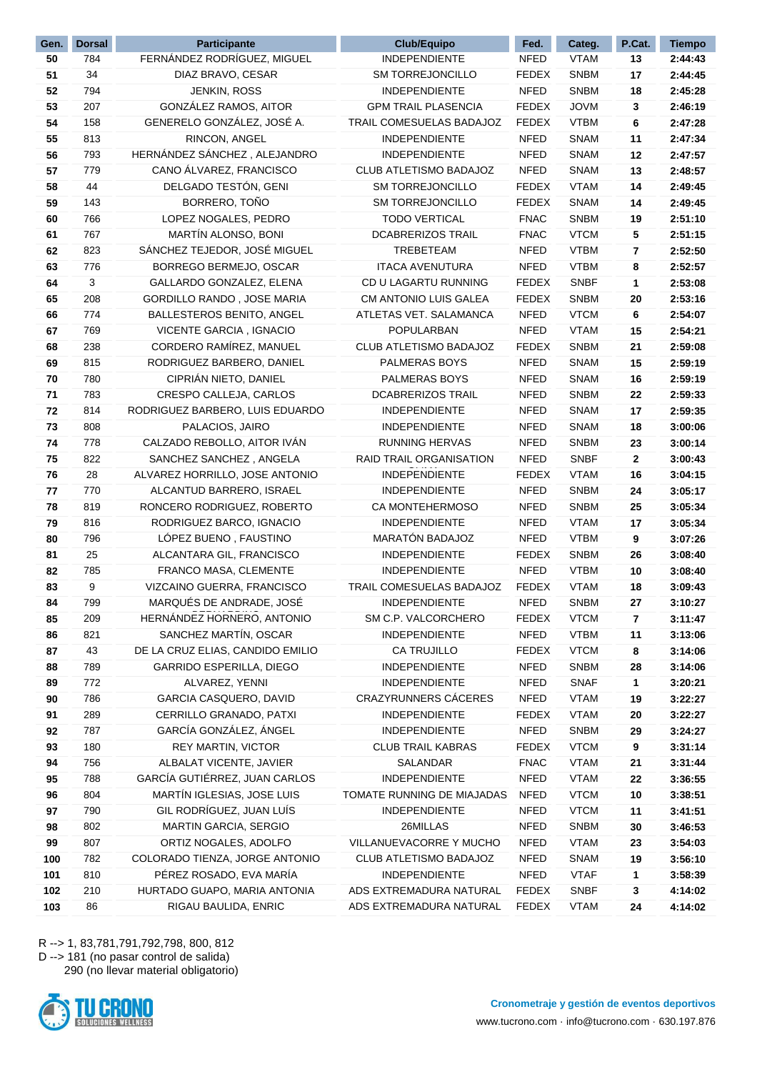| Gen. | <b>Dorsal</b> | <b>Participante</b>              | <b>Club/Equipo</b>              | Fed.         | Categ.      | P.Cat. | <b>Tiempo</b> |
|------|---------------|----------------------------------|---------------------------------|--------------|-------------|--------|---------------|
| 50   | 784           | FERNÁNDEZ RODRÍGUEZ, MIGUEL      | <b>INDEPENDIENTE</b>            | <b>NFED</b>  | <b>VTAM</b> | 13     | 2:44:43       |
| 51   | 34            | DIAZ BRAVO, CESAR                | <b>SM TORREJONCILLO</b>         | <b>FEDEX</b> | <b>SNBM</b> | 17     | 2:44:45       |
| 52   | 794           | <b>JENKIN, ROSS</b>              | <b>INDEPENDIENTE</b>            | NFED         | <b>SNBM</b> | 18     | 2:45:28       |
| 53   | 207           | GONZÁLEZ RAMOS, AITOR            | <b>GPM TRAIL PLASENCIA</b>      | <b>FEDEX</b> | <b>JOVM</b> | 3      | 2:46:19       |
| 54   | 158           | GENERELO GONZÁLEZ, JOSÉ A.       | TRAIL COMESUELAS BADAJOZ        | <b>FEDEX</b> | <b>VTBM</b> | 6      | 2:47:28       |
| 55   | 813           | RINCON, ANGEL                    | <b>INDEPENDIENTE</b>            | <b>NFED</b>  | <b>SNAM</b> | 11     | 2:47:34       |
| 56   | 793           | HERNÁNDEZ SÁNCHEZ, ALEJANDRO     | <b>INDEPENDIENTE</b>            | <b>NFED</b>  | <b>SNAM</b> | 12     | 2:47:57       |
| 57   | 779           | CANO ÁLVAREZ, FRANCISCO          | CLUB ATLETISMO BADAJOZ          | <b>NFED</b>  | <b>SNAM</b> | 13     | 2:48:57       |
| 58   | 44            | DELGADO TESTÓN, GENI             | <b>SM TORREJONCILLO</b>         | <b>FEDEX</b> | <b>VTAM</b> | 14     | 2:49:45       |
| 59   | 143           | BORRERO, TOÑO                    | <b>SM TORREJONCILLO</b>         | <b>FEDEX</b> | <b>SNAM</b> | 14     | 2:49:45       |
| 60   | 766           | LOPEZ NOGALES, PEDRO             | <b>TODO VERTICAL</b>            | <b>FNAC</b>  | <b>SNBM</b> | 19     | 2:51:10       |
| 61   | 767           | MARTÍN ALONSO, BONI              | <b>DCABRERIZOS TRAIL</b>        | <b>FNAC</b>  | <b>VTCM</b> | 5      | 2:51:15       |
| 62   | 823           | SÁNCHEZ TEJEDOR, JOSÉ MIGUEL     | TREBETEAM                       | <b>NFED</b>  | <b>VTBM</b> | 7      | 2:52:50       |
| 63   | 776           | BORREGO BERMEJO, OSCAR           | <b>ITACA AVENUTURA</b>          | <b>NFED</b>  | <b>VTBM</b> | 8      | 2:52:57       |
| 64   | 3             | GALLARDO GONZALEZ, ELENA         | CD U LAGARTU RUNNING            | <b>FEDEX</b> | <b>SNBF</b> | 1      | 2:53:08       |
| 65   | 208           | GORDILLO RANDO, JOSE MARIA       | CM ANTONIO LUIS GALEA           | <b>FEDEX</b> | <b>SNBM</b> | 20     | 2:53:16       |
| 66   | 774           | BALLESTEROS BENITO, ANGEL        | ATLETAS VET. SALAMANCA          | <b>NFED</b>  | <b>VTCM</b> | 6      | 2:54:07       |
| 67   | 769           | VICENTE GARCIA, IGNACIO          | POPULARBAN                      | <b>NFED</b>  | <b>VTAM</b> | 15     | 2:54:21       |
| 68   | 238           | CORDERO RAMÍREZ, MANUEL          | CLUB ATLETISMO BADAJOZ          | <b>FEDEX</b> | <b>SNBM</b> | 21     | 2:59:08       |
| 69   | 815           | RODRIGUEZ BARBERO, DANIEL        | <b>PALMERAS BOYS</b>            | <b>NFED</b>  | <b>SNAM</b> | 15     | 2:59:19       |
| 70   | 780           | CIPRIÁN NIETO, DANIEL            | <b>PALMERAS BOYS</b>            | <b>NFED</b>  | <b>SNAM</b> | 16     | 2:59:19       |
| 71   | 783           | CRESPO CALLEJA, CARLOS           | <b>DCABRERIZOS TRAIL</b>        | <b>NFED</b>  | <b>SNBM</b> | 22     | 2:59:33       |
| 72   | 814           | RODRIGUEZ BARBERO, LUIS EDUARDO  | <b>INDEPENDIENTE</b>            | <b>NFED</b>  | SNAM        | 17     | 2:59:35       |
| 73   | 808           | PALACIOS, JAIRO                  | <b>INDEPENDIENTE</b>            | <b>NFED</b>  | <b>SNAM</b> | 18     | 3:00:06       |
| 74   | 778           | CALZADO REBOLLO, AITOR IVÁN      | <b>RUNNING HERVAS</b>           | <b>NFED</b>  | <b>SNBM</b> | 23     | 3:00:14       |
| 75   | 822           | SANCHEZ SANCHEZ, ANGELA          | RAID TRAIL ORGANISATION         | <b>NFED</b>  | <b>SNBF</b> | 2      | 3:00:43       |
| 76   | 28            | ALVAREZ HORRILLO, JOSE ANTONIO   | <b>INDEPENDIENTE</b>            | <b>FEDEX</b> | <b>VTAM</b> | 16     | 3:04:15       |
| 77   | 770           | ALCANTUD BARRERO, ISRAEL         | <b>INDEPENDIENTE</b>            | <b>NFED</b>  | <b>SNBM</b> | 24     | 3:05:17       |
| 78   | 819           | RONCERO RODRIGUEZ, ROBERTO       | CA MONTEHERMOSO                 | <b>NFED</b>  | <b>SNBM</b> | 25     | 3:05:34       |
| 79   | 816           | RODRIGUEZ BARCO, IGNACIO         | <b>INDEPENDIENTE</b>            | <b>NFED</b>  | <b>VTAM</b> | 17     | 3:05:34       |
| 80   | 796           | LÓPEZ BUENO, FAUSTINO            | MARATÓN BADAJOZ                 | <b>NFED</b>  | <b>VTBM</b> | 9      | 3:07:26       |
| 81   | 25            | ALCANTARA GIL, FRANCISCO         | <b>INDEPENDIENTE</b>            | <b>FEDEX</b> | <b>SNBM</b> | 26     | 3:08:40       |
| 82   | 785           | FRANCO MASA, CLEMENTE            | <b>INDEPENDIENTE</b>            | <b>NFED</b>  | <b>VTBM</b> | 10     | 3:08:40       |
| 83   | 9             | VIZCAINO GUERRA, FRANCISCO       | <b>TRAIL COMESUELAS BADAJOZ</b> | <b>FEDEX</b> | <b>VTAM</b> | 18     | 3:09:43       |
| 84   | 799           | MARQUÉS DE ANDRADE, JOSÉ         | <b>INDEPENDIENTE</b>            | <b>NFED</b>  | <b>SNBM</b> | 27     | 3:10:27       |
| 85   | 209           | HERNANDEZ HORNERO, ANTONIO       | SM C.P. VALCORCHERO             | <b>FEDEX</b> | <b>VTCM</b> | 7      | 3:11:47       |
| 86   | 821           | SANCHEZ MARTÍN, OSCAR            | <b>INDEPENDIENTE</b>            | <b>NFED</b>  | <b>VTBM</b> | 11     | 3:13:06       |
| 87   | 43            | DE LA CRUZ ELIAS, CANDIDO EMILIO | <b>CA TRUJILLO</b>              | <b>FEDEX</b> | <b>VTCM</b> | 8      | 3:14:06       |
| 88   | 789           | <b>GARRIDO ESPERILLA, DIEGO</b>  | <b>INDEPENDIENTE</b>            | <b>NFED</b>  | <b>SNBM</b> | 28     | 3:14:06       |
| 89   | 772           | ALVAREZ, YENNI                   | <b>INDEPENDIENTE</b>            | <b>NFED</b>  | <b>SNAF</b> | 1      | 3:20:21       |
| 90   | 786           | <b>GARCIA CASQUERO, DAVID</b>    | CRAZYRUNNERS CÁCERES            | <b>NFED</b>  | <b>VTAM</b> | 19     | 3:22:27       |
| 91   | 289           | CERRILLO GRANADO, PATXI          | <b>INDEPENDIENTE</b>            | <b>FEDEX</b> | <b>VTAM</b> | 20     | 3:22:27       |
| 92   | 787           | GARCÍA GONZÁLEZ, ÁNGEL           | <b>INDEPENDIENTE</b>            | <b>NFED</b>  | <b>SNBM</b> | 29     | 3:24:27       |
| 93   | 180           | REY MARTIN, VICTOR               | <b>CLUB TRAIL KABRAS</b>        | <b>FEDEX</b> | <b>VTCM</b> | 9      | 3:31:14       |
| 94   | 756           | ALBALAT VICENTE, JAVIER          | SALANDAR                        | <b>FNAC</b>  | <b>VTAM</b> | 21     | 3:31:44       |
| 95   | 788           | GARCÍA GUTIÉRREZ, JUAN CARLOS    | <b>INDEPENDIENTE</b>            | <b>NFED</b>  | <b>VTAM</b> | 22     | 3:36:55       |
| 96   | 804           | MARTÍN IGLESIAS, JOSE LUIS       | TOMATE RUNNING DE MIAJADAS      | <b>NFED</b>  | <b>VTCM</b> | 10     | 3:38:51       |
| 97   | 790           | GIL RODRÍGUEZ, JUAN LUÍS         | <b>INDEPENDIENTE</b>            | <b>NFED</b>  | <b>VTCM</b> | 11     | 3:41:51       |
| 98   | 802           | MARTIN GARCIA, SERGIO            | 26MILLAS                        | <b>NFED</b>  | <b>SNBM</b> | 30     | 3:46:53       |
| 99   | 807           | ORTIZ NOGALES, ADOLFO            | VILLANUEVACORRE Y MUCHO         | <b>NFED</b>  | <b>VTAM</b> | 23     | 3:54:03       |
| 100  | 782           | COLORADO TIENZA, JORGE ANTONIO   | CLUB ATLETISMO BADAJOZ          | <b>NFED</b>  | <b>SNAM</b> | 19     | 3:56:10       |
| 101  | 810           | PÉREZ ROSADO, EVA MARÍA          | INDEPENDIENTE                   | <b>NFED</b>  | <b>VTAF</b> | 1      | 3:58:39       |
| 102  | 210           | HURTADO GUAPO, MARIA ANTONIA     | ADS EXTREMADURA NATURAL         | FEDEX        | <b>SNBF</b> | 3      | 4:14:02       |
| 103  | 86            | RIGAU BAULIDA, ENRIC             | ADS EXTREMADURA NATURAL         | <b>FEDEX</b> | <b>VTAM</b> | 24     | 4:14:02       |

R --> 1, 83,781,791,792,798, 800, 812 D --> 181 (no pasar control de salida)

290 (no llevar material obligatorio)

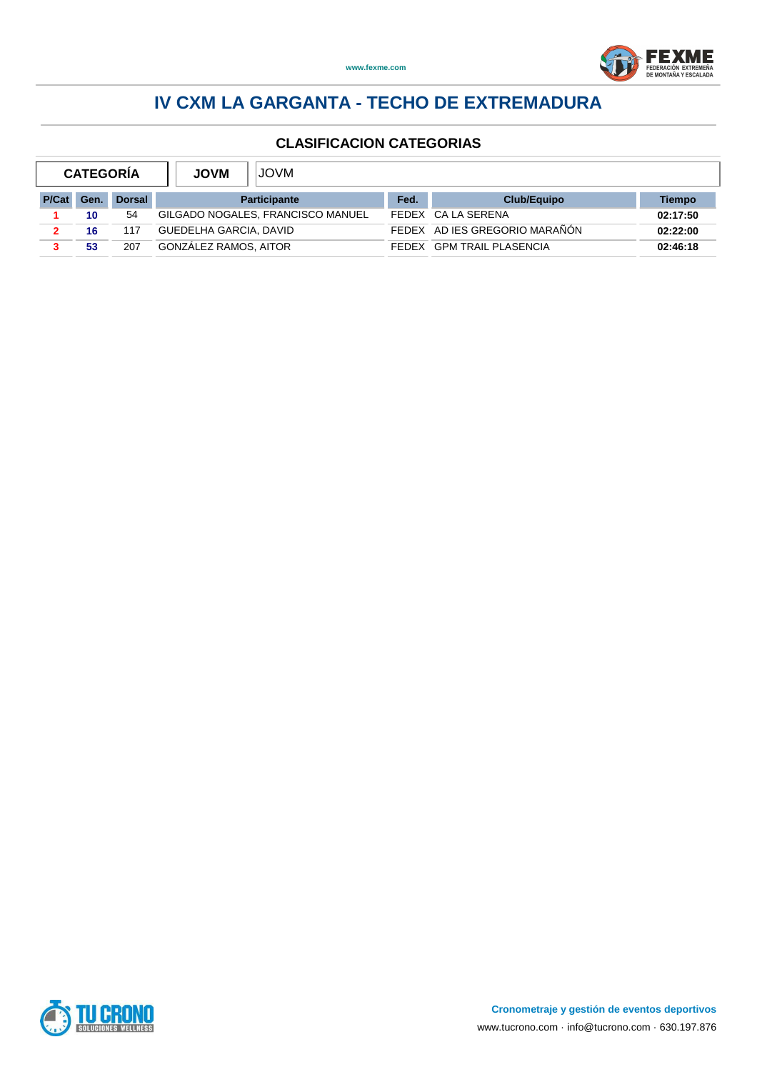

| <b>CATEGORIA</b> |      |               | <b>JOVM</b><br><b>JOVM</b>        |      |                               |          |  |  |
|------------------|------|---------------|-----------------------------------|------|-------------------------------|----------|--|--|
| P/Cat            | Gen. | <b>Dorsal</b> | <b>Participante</b>               | Fed. | <b>Club/Equipo</b>            | Tiempo   |  |  |
|                  | 10   | 54            | GILGADO NOGALES, FRANCISCO MANUEL |      | FEDEX CA LA SERENA            | 02:17:50 |  |  |
|                  | 16   | 117           | GUEDELHA GARCIA, DAVID            |      | FEDEX AD IES GREGORIO MARAÑÓN | 02:22:00 |  |  |
|                  | 53   | 207           | GONZÁLEZ RAMOS, AITOR             |      | FEDEX GPM TRAIL PLASENCIA     | 02:46:18 |  |  |

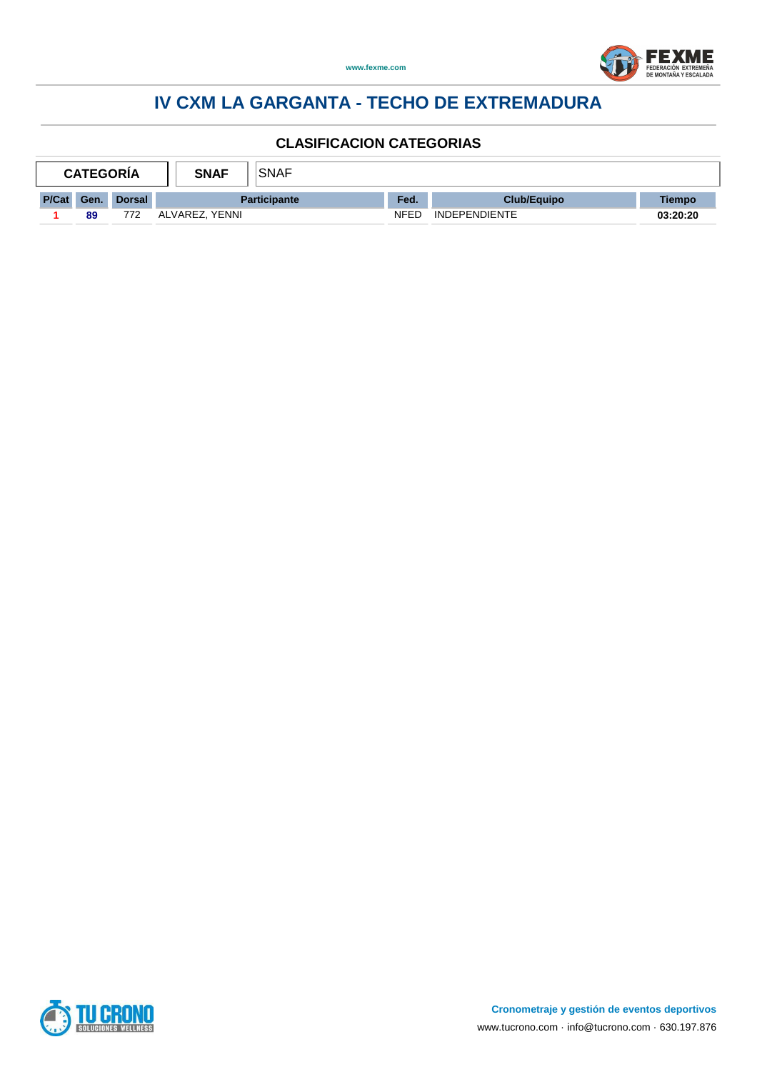



| <b>SNAF</b><br><b>SNAF</b><br><b>CATEGORIA</b> |      |               |                     |  |             |                      |               |
|------------------------------------------------|------|---------------|---------------------|--|-------------|----------------------|---------------|
| P/Cat                                          | Gen. | <b>Dorsal</b> | <b>Participante</b> |  | Fed.        | <b>Club/Equipo</b>   | <b>Tiempo</b> |
|                                                | 89   | 772           | ALVAREZ. YENNI      |  | <b>NFED</b> | <b>INDEPENDIENTE</b> | 03:20:20      |

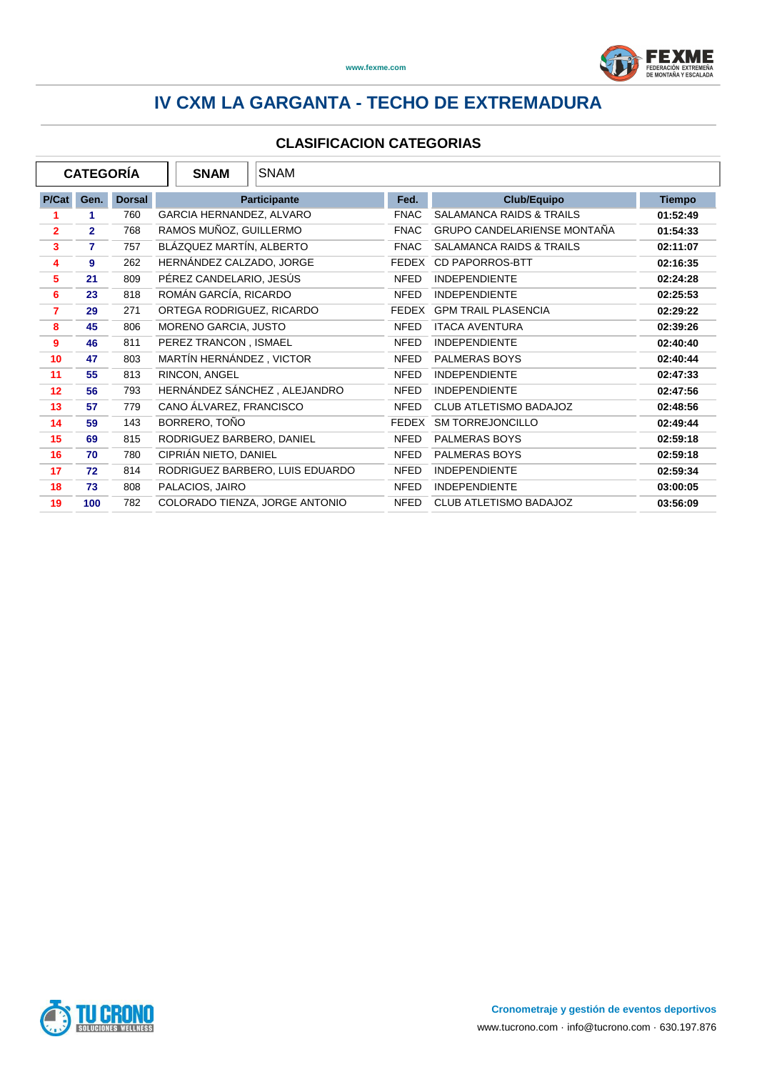

|                | <b>CATEGORÍA</b> |               | <b>SNAM</b>               | <b>SNAM</b>                     |              |                                     |               |
|----------------|------------------|---------------|---------------------------|---------------------------------|--------------|-------------------------------------|---------------|
| P/Cat          | Gen.             | <b>Dorsal</b> |                           | Participante                    | Fed.         | <b>Club/Equipo</b>                  | <b>Tiempo</b> |
|                | 1                | 760           | GARCIA HERNANDEZ, ALVARO  |                                 | <b>FNAC</b>  | <b>SALAMANCA RAIDS &amp; TRAILS</b> | 01:52:49      |
| $\overline{2}$ | $\overline{2}$   | 768           | RAMOS MUÑOZ, GUILLERMO    |                                 | <b>FNAC</b>  | GRUPO CANDELARIENSE MONTAÑA         | 01:54:33      |
| 3              | 7                | 757           | BLÁZQUEZ MARTÍN, ALBERTO  |                                 | <b>FNAC</b>  | <b>SALAMANCA RAIDS &amp; TRAILS</b> | 02:11:07      |
| 4              | 9                | 262           | HERNÁNDEZ CALZADO, JORGE  |                                 | FEDEX        | <b>CD PAPORROS-BTT</b>              | 02:16:35      |
| 5              | 21               | 809           | PÉREZ CANDELARIO, JESÚS   |                                 | <b>NFED</b>  | <b>INDEPENDIENTE</b>                | 02:24:28      |
| 6              | 23               | 818           | ROMÁN GARCÍA, RICARDO     |                                 | <b>NFED</b>  | <b>INDEPENDIENTE</b>                | 02:25:53      |
| $\overline{7}$ | 29               | 271           | ORTEGA RODRIGUEZ, RICARDO |                                 | <b>FEDEX</b> | <b>GPM TRAIL PLASENCIA</b>          | 02:29:22      |
| 8              | 45               | 806           | MORENO GARCIA, JUSTO      |                                 | <b>NFED</b>  | <b>ITACA AVENTURA</b>               | 02:39:26      |
| 9              | 46               | 811           | PEREZ TRANCON, ISMAEL     |                                 | <b>NFED</b>  | <b>INDEPENDIENTE</b>                | 02:40:40      |
| 10             | 47               | 803           | MARTÍN HERNÁNDEZ, VICTOR  |                                 | <b>NFED</b>  | PALMERAS BOYS                       | 02:40:44      |
| 11             | 55               | 813           | RINCON, ANGEL             |                                 | <b>NFED</b>  | <b>INDEPENDIENTE</b>                | 02:47:33      |
| 12             | 56               | 793           |                           | HERNÁNDEZ SÁNCHEZ, ALEJANDRO    | <b>NFED</b>  | <b>INDEPENDIENTE</b>                | 02:47:56      |
| 13             | 57               | 779           | CANO ÁLVAREZ, FRANCISCO   |                                 | <b>NFED</b>  | <b>CLUB ATLETISMO BADAJOZ</b>       | 02:48:56      |
| 14             | 59               | 143           | BORRERO, TOÑO             |                                 | <b>FEDEX</b> | <b>SM TORREJONCILLO</b>             | 02:49:44      |
| 15             | 69               | 815           | RODRIGUEZ BARBERO, DANIEL |                                 | <b>NFED</b>  | PALMERAS BOYS                       | 02:59:18      |
| 16             | 70               | 780           | CIPRIÁN NIETO, DANIEL     |                                 | <b>NFED</b>  | <b>PALMERAS BOYS</b>                | 02:59:18      |
| 17             | 72               | 814           |                           | RODRIGUEZ BARBERO, LUIS EDUARDO | <b>NFED</b>  | <b>INDEPENDIENTE</b>                | 02:59:34      |
| 18             | 73               | 808           | PALACIOS, JAIRO           |                                 | <b>NFED</b>  | <b>INDEPENDIENTE</b>                | 03:00:05      |
| 19             | 100              | 782           |                           | COLORADO TIENZA, JORGE ANTONIO  | <b>NFED</b>  | <b>CLUB ATLETISMO BADAJOZ</b>       | 03:56:09      |

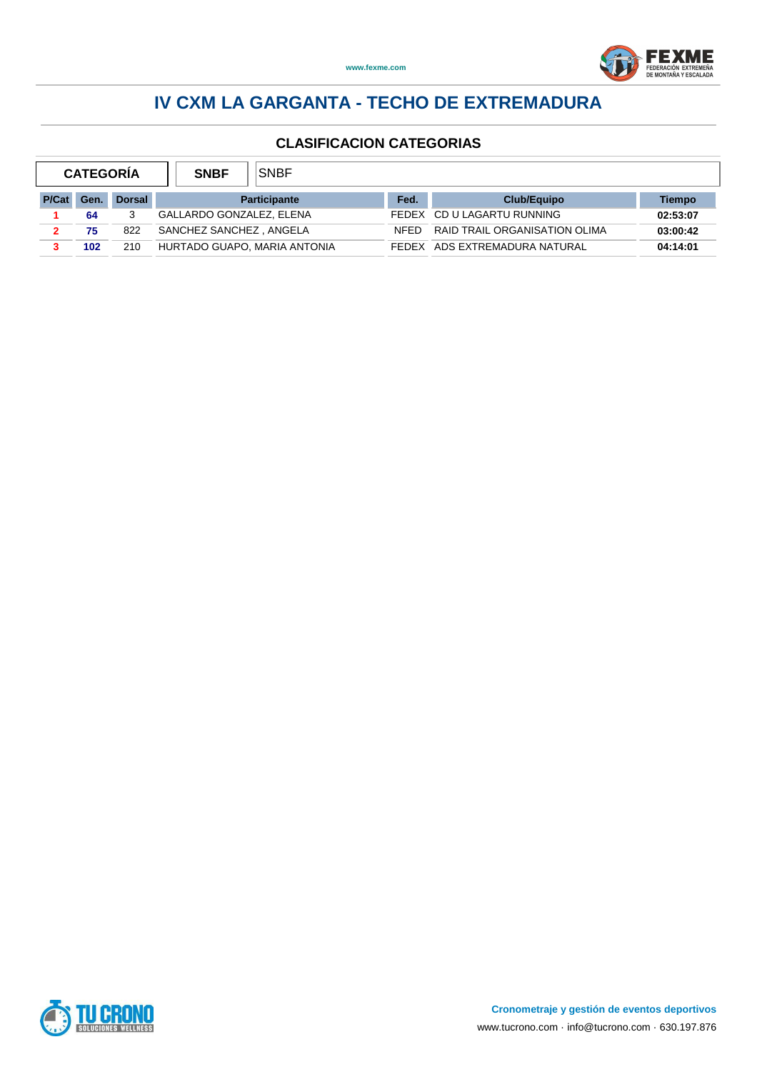

| <b>CATEGORIA</b> |      |               | `SNBF<br><b>SNBF</b>         |             |                               |          |
|------------------|------|---------------|------------------------------|-------------|-------------------------------|----------|
| P/Cat            | Gen. | <b>Dorsal</b> | <b>Participante</b>          | Fed.        | Club/Equipo                   | Tiempo   |
|                  | 64   |               | GALLARDO GONZALEZ. ELENA     |             | FEDEX CD U LAGARTU RUNNING    | 02:53:07 |
|                  | 75   | 822           | SANCHEZ SANCHEZ, ANGELA      | <b>NFFD</b> | RAID TRAIL ORGANISATION OLIMA | 03:00:42 |
|                  | 102  | 210           | HURTADO GUAPO, MARIA ANTONIA |             | FEDEX ADS EXTREMADURA NATURAL | 04:14:01 |

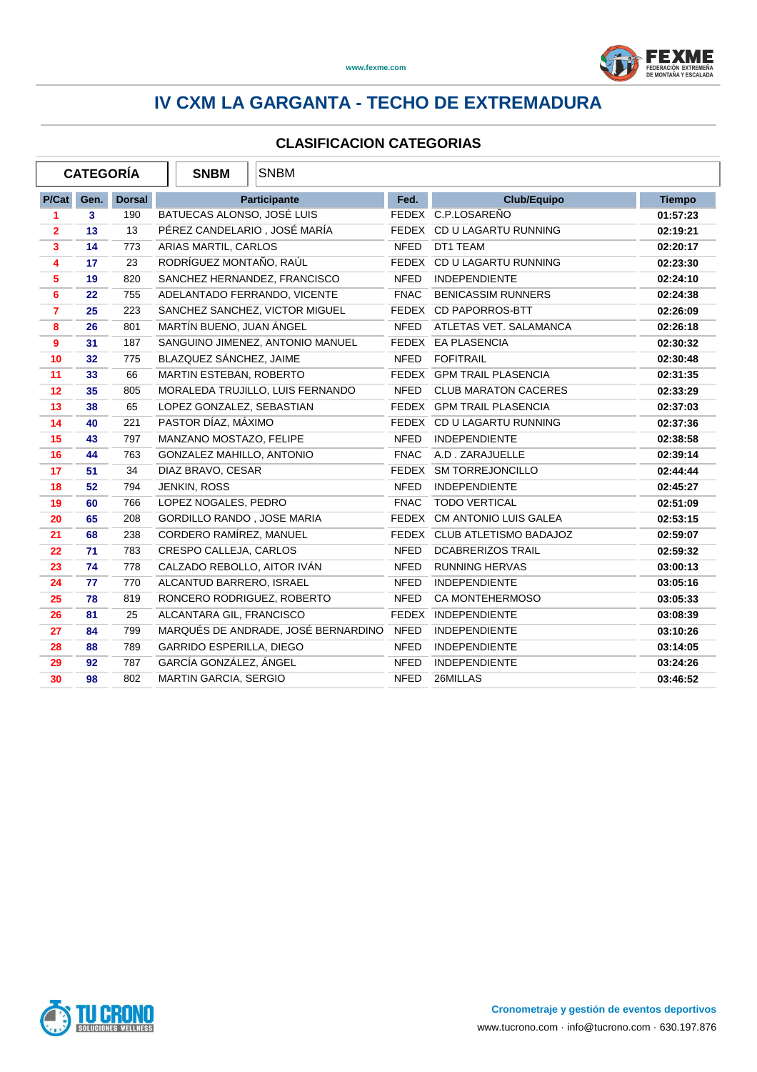

|                         | <b>CATEGORÍA</b> |               | <b>SNBM</b>                  | <b>SNBM</b>                         |             |                              |               |
|-------------------------|------------------|---------------|------------------------------|-------------------------------------|-------------|------------------------------|---------------|
| P/Cat                   | Gen.             | <b>Dorsal</b> |                              | Participante                        | Fed.        | <b>Club/Equipo</b>           | <b>Tiempo</b> |
| 1                       | 3                | 190           | BATUECAS ALONSO, JOSÉ LUIS   |                                     |             | FEDEX C.P.LOSAREÑO           | 01:57:23      |
| $\overline{2}$          | 13               | 13            | PÉREZ CANDELARIO, JOSÉ MARÍA |                                     |             | FEDEX CD U LAGARTU RUNNING   | 02:19:21      |
| $\overline{\mathbf{3}}$ | 14               | 773           | ARIAS MARTIL, CARLOS         |                                     | <b>NFED</b> | DT1 TEAM                     | 02:20:17      |
| 4                       | 17               | 23            | RODRÍGUEZ MONTAÑO, RAÚL      |                                     |             | FEDEX CD U LAGARTU RUNNING   | 02:23:30      |
| 5                       | 19               | 820           |                              | SANCHEZ HERNANDEZ, FRANCISCO        | NFED        | INDEPENDIENTE                | 02:24:10      |
| 6                       | 22               | 755           |                              | ADELANTADO FERRANDO, VICENTE        | <b>FNAC</b> | <b>BENICASSIM RUNNERS</b>    | 02:24:38      |
| $\overline{7}$          | 25               | 223           |                              | SANCHEZ SANCHEZ, VICTOR MIGUEL      |             | FEDEX CD PAPORROS-BTT        | 02:26:09      |
| 8                       | 26               | 801           | MARTÍN BUENO, JUAN ÁNGEL     |                                     | <b>NFED</b> | ATLETAS VET. SALAMANCA       | 02:26:18      |
| $\overline{9}$          | 31               | 187           |                              | SANGUINO JIMENEZ, ANTONIO MANUEL    |             | FEDEX EA PLASENCIA           | 02:30:32      |
| 10                      | 32               | 775           | BLAZQUEZ SÁNCHEZ, JAIME      |                                     |             | NFED FOFITRAIL               | 02:30:48      |
| 11                      | 33               | 66            | MARTIN ESTEBAN, ROBERTO      |                                     |             | FEDEX GPM TRAIL PLASENCIA    | 02:31:35      |
| 12                      | 35               | 805           |                              | MORALEDA TRUJILLO, LUIS FERNANDO    | <b>NFED</b> | <b>CLUB MARATON CACERES</b>  | 02:33:29      |
| 13                      | 38               | 65            | LOPEZ GONZALEZ, SEBASTIAN    |                                     |             | FEDEX GPM TRAIL PLASENCIA    | 02:37:03      |
| 14                      | 40               | 221           | PASTOR DÍAZ, MÁXIMO          |                                     |             | FEDEX CD U LAGARTU RUNNING   | 02:37:36      |
| 15                      | 43               | 797           | MANZANO MOSTAZO, FELIPE      |                                     | <b>NFED</b> | <b>INDEPENDIENTE</b>         | 02:38:58      |
| 16                      | 44               | 763           | GONZALEZ MAHILLO, ANTONIO    |                                     | <b>FNAC</b> | A.D. ZARAJUELLE              | 02:39:14      |
| 17                      | 51               | 34            | DIAZ BRAVO, CESAR            |                                     |             | FEDEX SM TORREJONCILLO       | 02:44:44      |
| 18                      | 52               | 794           | <b>JENKIN, ROSS</b>          |                                     | <b>NFED</b> | <b>INDEPENDIENTE</b>         | 02:45:27      |
| 19                      | 60               | 766           | LOPEZ NOGALES, PEDRO         |                                     | <b>FNAC</b> | <b>TODO VERTICAL</b>         | 02:51:09      |
| 20                      | 65               | 208           | GORDILLO RANDO, JOSE MARIA   |                                     |             | FEDEX CM ANTONIO LUIS GALEA  | 02:53:15      |
| 21                      | 68               | 238           | CORDERO RAMÍREZ, MANUEL      |                                     |             | FEDEX CLUB ATLETISMO BADAJOZ | 02:59:07      |
| 22                      | 71               | 783           | CRESPO CALLEJA, CARLOS       |                                     | <b>NFED</b> | <b>DCABRERIZOS TRAIL</b>     | 02:59:32      |
| 23                      | 74               | 778           | CALZADO REBOLLO, AITOR IVÁN  |                                     | <b>NFED</b> | <b>RUNNING HERVAS</b>        | 03:00:13      |
| 24                      | 77               | 770           | ALCANTUD BARRERO, ISRAEL     |                                     | NFED        | <b>INDEPENDIENTE</b>         | 03:05:16      |
| 25                      | 78               | 819           | RONCERO RODRIGUEZ, ROBERTO   |                                     | NFED        | CA MONTEHERMOSO              | 03:05:33      |
| 26                      | 81               | 25            | ALCANTARA GIL, FRANCISCO     |                                     |             | FEDEX INDEPENDIENTE          | 03:08:39      |
| 27                      | 84               | 799           |                              | MARQUÉS DE ANDRADE, JOSÉ BERNARDINO | <b>NFED</b> | <b>INDEPENDIENTE</b>         | 03:10:26      |
| 28                      | 88               | 789           | GARRIDO ESPERILLA, DIEGO     |                                     | <b>NFED</b> | <b>INDEPENDIENTE</b>         | 03:14:05      |
| 29                      | 92               | 787           | GARCÍA GONZÁLEZ, ÁNGEL       |                                     | <b>NFED</b> | <b>INDEPENDIENTE</b>         | 03:24:26      |
| 30                      | 98               | 802           | <b>MARTIN GARCIA, SERGIO</b> |                                     | <b>NFED</b> | 26MILLAS                     | 03:46:52      |

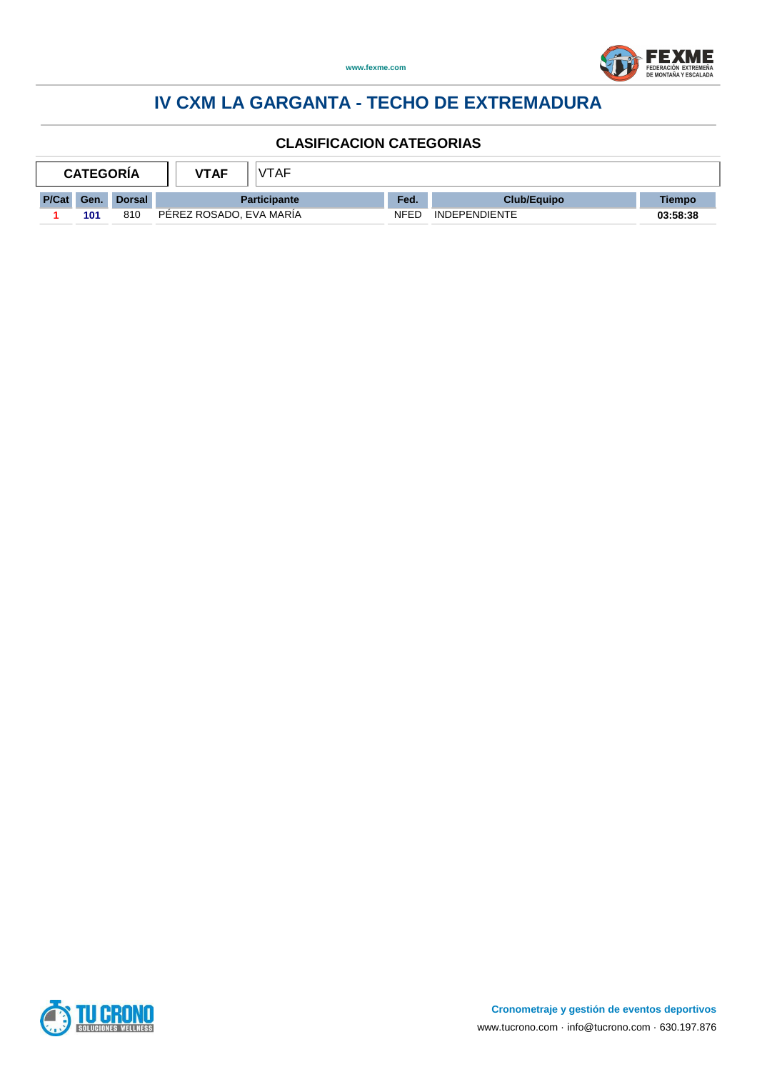



| <b>CATEGORIA</b> |      |               | ′TAF<br><b>VTAF</b>     |             |                      |               |
|------------------|------|---------------|-------------------------|-------------|----------------------|---------------|
| <b>P/Cat</b>     | Gen. | <b>Dorsal</b> | <b>Participante</b>     |             | <b>Club/Equipo</b>   | <b>Tiempo</b> |
|                  | 101  | 810           | PEREZ ROSADO, EVA MARIA | <b>NFED</b> | <b>INDEPENDIENTE</b> | 03:58:38      |

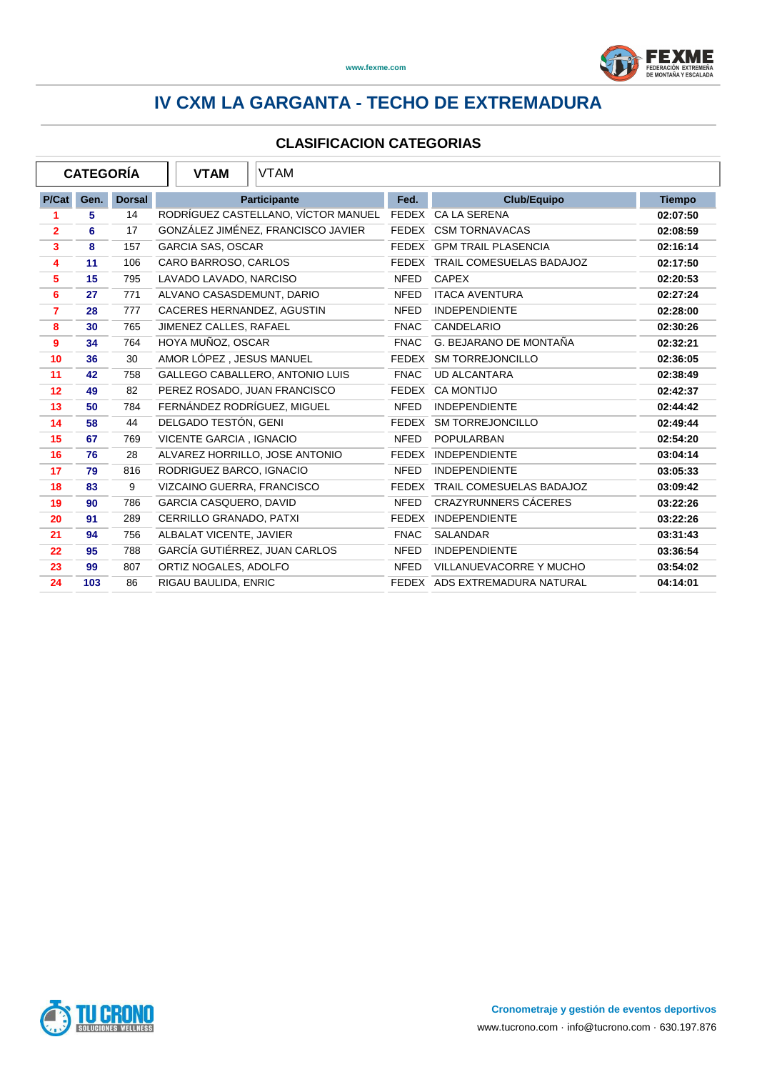

|                         | <b>CATEGORÍA</b> |               | VTAM<br><b>VTAM</b>                 |              |                                |               |
|-------------------------|------------------|---------------|-------------------------------------|--------------|--------------------------------|---------------|
| P/Cat                   | Gen.             | <b>Dorsal</b> | <b>Participante</b>                 | Fed.         | <b>Club/Equipo</b>             | <b>Tiempo</b> |
| 1                       | 5                | 14            | RODRÍGUEZ CASTELLANO, VÍCTOR MANUEL |              | FEDEX CA LA SERENA             | 02:07:50      |
| $\overline{2}$          | 6                | 17            | GONZÁLEZ JIMÉNEZ, FRANCISCO JAVIER  |              | FEDEX CSM TORNAVACAS           | 02:08:59      |
| $\overline{\mathbf{3}}$ | 8                | 157           | <b>GARCIA SAS, OSCAR</b>            |              | FEDEX GPM TRAIL PLASENCIA      | 02:16:14      |
| 4                       | 11               | 106           | CARO BARROSO, CARLOS                |              | FEDEX TRAIL COMESUELAS BADAJOZ | 02:17:50      |
| 5                       | 15               | 795           | LAVADO LAVADO, NARCISO              | <b>NFED</b>  | <b>CAPEX</b>                   | 02:20:53      |
| 6                       | 27               | 771           | ALVANO CASASDEMUNT, DARIO           | <b>NFED</b>  | <b>ITACA AVENTURA</b>          | 02:27:24      |
| $\overline{7}$          | 28               | 777           | CACERES HERNANDEZ, AGUSTIN          | <b>NFED</b>  | <b>INDEPENDIENTE</b>           | 02:28:00      |
| 8                       | 30               | 765           | JIMENEZ CALLES, RAFAEL              | <b>FNAC</b>  | CANDELARIO                     | 02:30:26      |
| 9                       | 34               | 764           | HOYA MUÑOZ, OSCAR                   | <b>FNAC</b>  | G. BEJARANO DE MONTAÑA         | 02:32:21      |
| 10                      | 36               | 30            | AMOR LÓPEZ, JESUS MANUEL            | FEDEX        | <b>SM TORREJONCILLO</b>        | 02:36:05      |
| 11                      | 42               | 758           | GALLEGO CABALLERO, ANTONIO LUIS     | <b>FNAC</b>  | <b>UD ALCANTARA</b>            | 02:38:49      |
| 12                      | 49               | 82            | PEREZ ROSADO, JUAN FRANCISCO        | FEDEX        | <b>CA MONTIJO</b>              | 02:42:37      |
| 13                      | 50               | 784           | FERNÁNDEZ RODRÍGUEZ, MIGUEL         | <b>NFED</b>  | <b>INDEPENDIENTE</b>           | 02:44:42      |
| 14                      | 58               | 44            | DELGADO TESTÓN, GENI                | FEDEX        | <b>SM TORREJONCILLO</b>        | 02:49:44      |
| 15                      | 67               | 769           | VICENTE GARCIA, IGNACIO             | <b>NFED</b>  | <b>POPULARBAN</b>              | 02:54:20      |
| 16                      | 76               | 28            | ALVAREZ HORRILLO, JOSE ANTONIO      | FEDEX        | <b>INDEPENDIENTE</b>           | 03:04:14      |
| 17                      | 79               | 816           | RODRIGUEZ BARCO, IGNACIO            | <b>NFED</b>  | <b>INDEPENDIENTE</b>           | 03:05:33      |
| 18                      | 83               | 9             | VIZCAINO GUERRA, FRANCISCO          | FEDEX        | TRAIL COMESUELAS BADAJOZ       | 03:09:42      |
| 19                      | 90               | 786           | <b>GARCIA CASQUERO, DAVID</b>       | <b>NFED</b>  | CRAZYRUNNERS CÁCERES           | 03:22:26      |
| 20                      | 91               | 289           | CERRILLO GRANADO, PATXI             | <b>FEDEX</b> | <b>INDEPENDIENTE</b>           | 03:22:26      |
| 21                      | 94               | 756           | ALBALAT VICENTE, JAVIER             | <b>FNAC</b>  | <b>SALANDAR</b>                | 03:31:43      |
| 22                      | 95               | 788           | GARCÍA GUTIÉRREZ, JUAN CARLOS       | <b>NFED</b>  | <b>INDEPENDIENTE</b>           | 03:36:54      |
| 23                      | 99               | 807           | ORTIZ NOGALES, ADOLFO               | <b>NFED</b>  | VILLANUEVACORRE Y MUCHO        | 03:54:02      |
| 24                      | 103              | 86            | RIGAU BAULIDA, ENRIC                |              | FEDEX ADS EXTREMADURA NATURAL  | 04:14:01      |

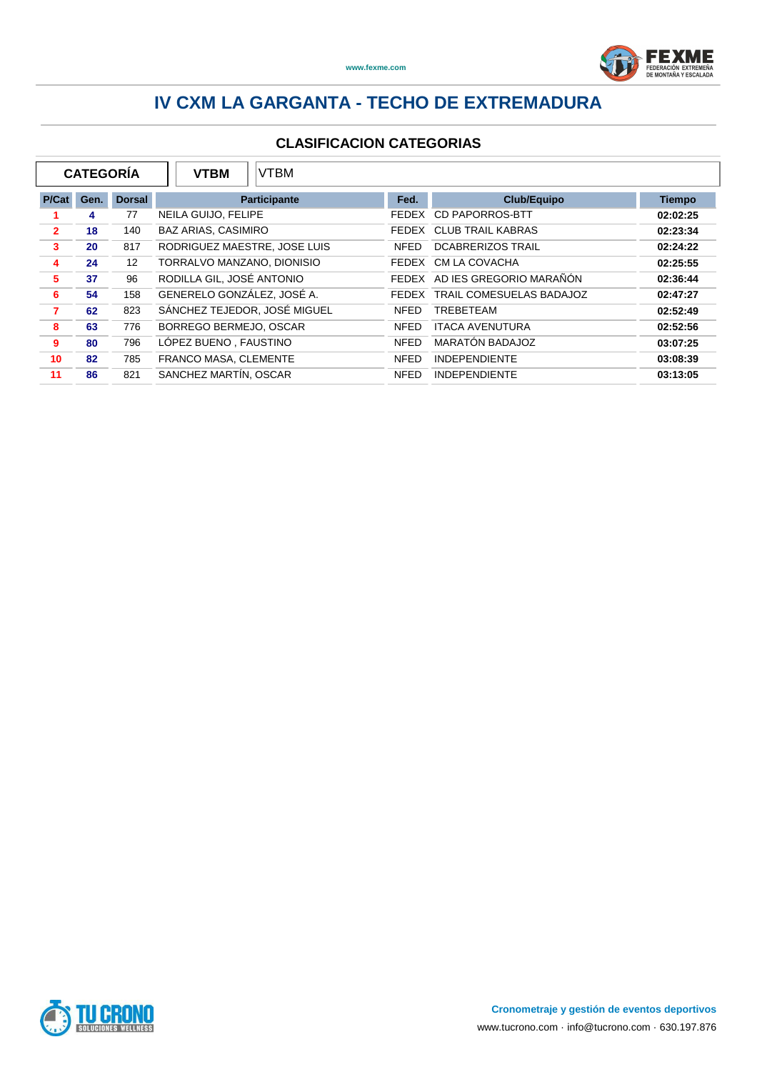

| <b>CATEGORÍA</b><br><b>VTBM</b><br><b>VTBM</b> |      |               |                              |             |                                |               |
|------------------------------------------------|------|---------------|------------------------------|-------------|--------------------------------|---------------|
| P/Cat                                          | Gen. | <b>Dorsal</b> | <b>Participante</b>          | Fed.        | <b>Club/Equipo</b>             | <b>Tiempo</b> |
|                                                | 4    | 77            | NEILA GUIJO, FELIPE          | FFDFX       | <b>CD PAPORROS-BTT</b>         | 02:02:25      |
| $\overline{2}$                                 | 18   | 140           | <b>BAZ ARIAS, CASIMIRO</b>   |             | FEDEX CLUB TRAIL KABRAS        | 02:23:34      |
| 3                                              | 20   | 817           | RODRIGUEZ MAESTRE, JOSE LUIS | <b>NFED</b> | <b>DCABRERIZOS TRAIL</b>       | 02:24:22      |
| 4                                              | 24   | 12            | TORRALVO MANZANO, DIONISIO   | FEDEX       | CM LA COVACHA                  | 02:25:55      |
| 5                                              | 37   | 96            | RODILLA GIL. JOSÉ ANTONIO    |             | FEDEX AD IES GREGORIO MARAÑÓN  | 02:36:44      |
| 6                                              | 54   | 158           | GENERELO GONZÁLEZ, JOSÉ A.   |             | FEDEX TRAIL COMESUELAS BADAJOZ | 02:47:27      |
| $\overline{7}$                                 | 62   | 823           | SÁNCHEZ TEJEDOR, JOSÉ MIGUEL | <b>NFED</b> | <b>TREBETEAM</b>               | 02:52:49      |
| 8                                              | 63   | 776           | BORREGO BERMEJO, OSCAR       | <b>NFED</b> | <b>ITACA AVENUTURA</b>         | 02:52:56      |
| 9                                              | 80   | 796           | LÓPEZ BUENO , FAUSTINO       | <b>NFED</b> | MARATÓN BADAJOZ                | 03:07:25      |
| 10                                             | 82   | 785           | <b>FRANCO MASA, CLEMENTE</b> | <b>NFED</b> | <b>INDEPENDIENTE</b>           | 03:08:39      |
| 11                                             | 86   | 821           | SANCHEZ MARTÍN, OSCAR        | <b>NFED</b> | <b>INDEPENDIENTE</b>           | 03:13:05      |

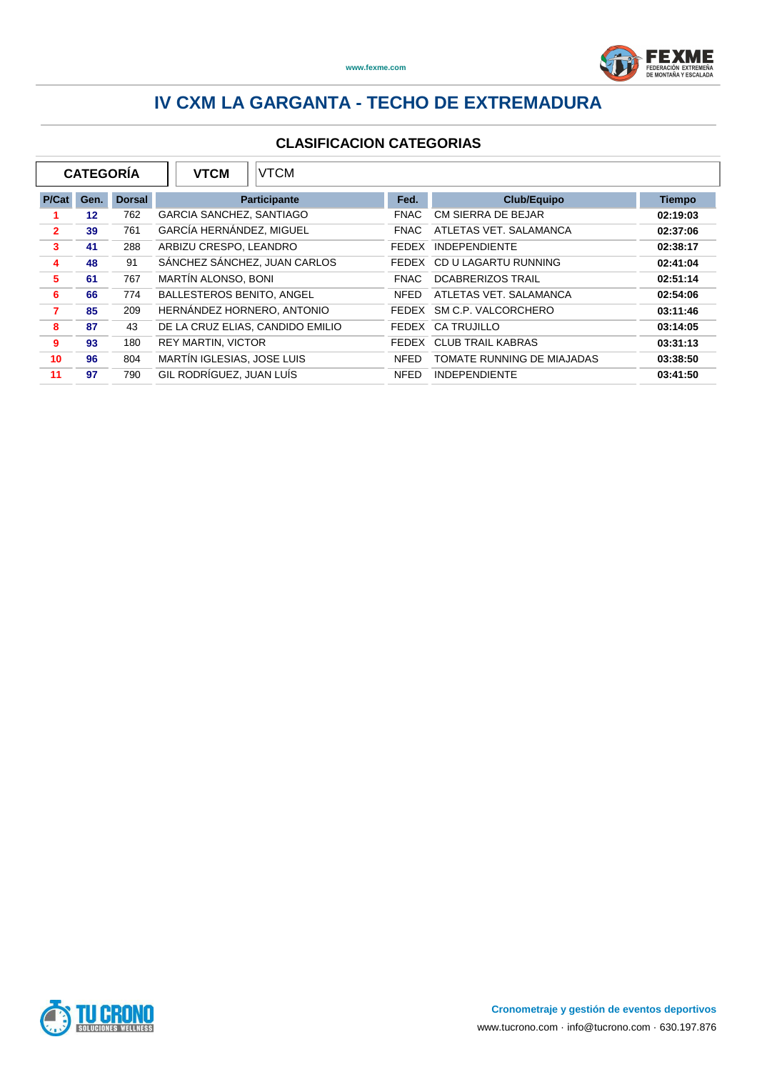

| <b>CATEGORÍA</b><br><b>VTCM</b><br><b>VTCM</b> |      |               |                                  |                     |             |                            |               |
|------------------------------------------------|------|---------------|----------------------------------|---------------------|-------------|----------------------------|---------------|
| P/Cat                                          | Gen. | <b>Dorsal</b> |                                  | <b>Participante</b> | Fed.        | <b>Club/Equipo</b>         | <b>Tiempo</b> |
|                                                | 12   | 762           | <b>GARCIA SANCHEZ, SANTIAGO</b>  |                     | <b>FNAC</b> | CM SIERRA DE BEJAR         | 02:19:03      |
| 2                                              | 39   | 761           | GARCÍA HERNÁNDEZ, MIGUEL         |                     | <b>FNAC</b> | ATLETAS VET. SALAMANCA     | 02:37:06      |
| 3                                              | 41   | 288           | ARBIZU CRESPO, LEANDRO           |                     | FEDEX       | <b>INDEPENDIENTE</b>       | 02:38:17      |
| 4                                              | 48   | 91            | SÁNCHEZ SÁNCHEZ, JUAN CARLOS     |                     |             | FEDEX CD U LAGARTU RUNNING | 02:41:04      |
| 5                                              | 61   | 767           | <b>MARTÍN ALONSO, BONI</b>       |                     | <b>FNAC</b> | <b>DCABRERIZOS TRAIL</b>   | 02:51:14      |
| 6                                              | 66   | 774           | <b>BALLESTEROS BENITO, ANGEL</b> |                     | NFED        | ATLETAS VET. SALAMANCA     | 02:54:06      |
| 7                                              | 85   | 209           | HERNÁNDEZ HORNERO, ANTONIO       |                     |             | FEDEX SM C.P. VALCORCHERO  | 03:11:46      |
| 8                                              | 87   | 43            | DE LA CRUZ ELIAS, CANDIDO EMILIO |                     |             | FEDEX CA TRUJILLO          | 03:14:05      |
| 9                                              | 93   | 180           | <b>REY MARTIN, VICTOR</b>        |                     |             | FEDEX CLUB TRAIL KABRAS    | 03:31:13      |
| 10                                             | 96   | 804           | MARTÍN IGLESIAS, JOSE LUIS       |                     | <b>NFED</b> | TOMATE RUNNING DE MIAJADAS | 03:38:50      |
| 11                                             | 97   | 790           | GIL RODRÍGUEZ. JUAN LUÍS         |                     | <b>NFED</b> | <b>INDEPENDIENTE</b>       | 03:41:50      |

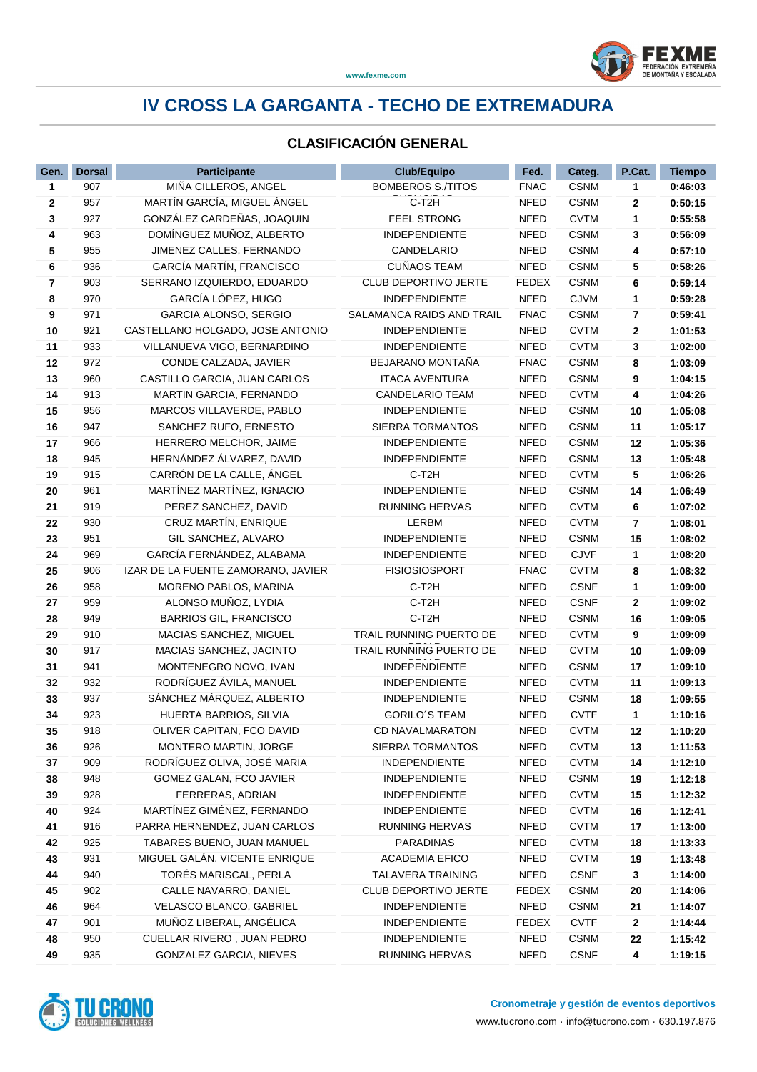

### **CLASIFICACIÓN GENERAL**

| Gen.         | <b>Dorsal</b> | <b>Participante</b>                | <b>Club/Equipo</b>        | Fed.         | Categ.      | P.Cat. | <b>Tiempo</b> |
|--------------|---------------|------------------------------------|---------------------------|--------------|-------------|--------|---------------|
| 1            | 907           | MIÑA CILLEROS, ANGEL               | <b>BOMBEROS S./TITOS</b>  | <b>FNAC</b>  | <b>CSNM</b> | 1      | 0:46:03       |
| $\mathbf{2}$ | 957           | MARTÍN GARCÍA, MIGUEL ÁNGEL        | C-T <sub>2</sub> H        | <b>NFED</b>  | <b>CSNM</b> | 2      | 0:50:15       |
| 3            | 927           | GONZÁLEZ CARDEÑAS, JOAQUIN         | <b>FEEL STRONG</b>        | <b>NFED</b>  | <b>CVTM</b> | 1      | 0:55:58       |
| 4            | 963           | DOMÍNGUEZ MUÑOZ, ALBERTO           | <b>INDEPENDIENTE</b>      | <b>NFED</b>  | <b>CSNM</b> | 3      | 0:56:09       |
| 5            | 955           | JIMENEZ CALLES, FERNANDO           | CANDELARIO                | NFED         | <b>CSNM</b> | 4      | 0:57:10       |
| 6            | 936           | GARCÍA MARTÍN, FRANCISCO           | <b>CUÑAOS TEAM</b>        | NFED         | <b>CSNM</b> | 5      | 0:58:26       |
| 7            | 903           | SERRANO IZQUIERDO, EDUARDO         | CLUB DEPORTIVO JERTE      | <b>FEDEX</b> | <b>CSNM</b> | 6      | 0:59:14       |
| 8            | 970           | GARCÍA LÓPEZ, HUGO                 | <b>INDEPENDIENTE</b>      | <b>NFED</b>  | <b>CJVM</b> | 1      | 0:59:28       |
| 9            | 971           | GARCIA ALONSO, SERGIO              | SALAMANCA RAIDS AND TRAIL | <b>FNAC</b>  | <b>CSNM</b> | 7      | 0:59:41       |
| 10           | 921           | CASTELLANO HOLGADO, JOSE ANTONIO   | INDEPENDIENTE             | <b>NFED</b>  | <b>CVTM</b> | 2      | 1:01:53       |
| 11           | 933           | VILLANUEVA VIGO, BERNARDINO        | <b>INDEPENDIENTE</b>      | <b>NFED</b>  | <b>CVTM</b> | 3      | 1:02:00       |
| 12           | 972           | CONDE CALZADA, JAVIER              | BEJARANO MONTAÑA          | <b>FNAC</b>  | <b>CSNM</b> | 8      | 1:03:09       |
| 13           | 960           | CASTILLO GARCIA, JUAN CARLOS       | <b>ITACA AVENTURA</b>     | <b>NFED</b>  | <b>CSNM</b> | 9      | 1:04:15       |
| 14           | 913           | MARTIN GARCIA, FERNANDO            | <b>CANDELARIO TEAM</b>    | <b>NFED</b>  | <b>CVTM</b> | 4      | 1:04:26       |
| 15           | 956           | MARCOS VILLAVERDE, PABLO           | <b>INDEPENDIENTE</b>      | <b>NFED</b>  | <b>CSNM</b> | 10     | 1:05:08       |
| 16           | 947           | SANCHEZ RUFO, ERNESTO              | <b>SIERRA TORMANTOS</b>   | <b>NFED</b>  | <b>CSNM</b> | 11     | 1:05:17       |
| 17           | 966           | HERRERO MELCHOR, JAIME             | <b>INDEPENDIENTE</b>      | NFED         | <b>CSNM</b> | 12     | 1:05:36       |
| 18           | 945           | HERNÁNDEZ ÁLVAREZ, DAVID           | <b>INDEPENDIENTE</b>      | <b>NFED</b>  | <b>CSNM</b> | 13     | 1:05:48       |
| 19           | 915           | CARRÓN DE LA CALLE, ÁNGEL          | C-T <sub>2</sub> H        | <b>NFED</b>  | <b>CVTM</b> | 5      | 1:06:26       |
| 20           | 961           | MARTÍNEZ MARTÍNEZ, IGNACIO         | <b>INDEPENDIENTE</b>      | <b>NFED</b>  | <b>CSNM</b> | 14     | 1:06:49       |
| 21           | 919           | PEREZ SANCHEZ, DAVID               | <b>RUNNING HERVAS</b>     | <b>NFED</b>  | <b>CVTM</b> | 6      | 1:07:02       |
| 22           | 930           | CRUZ MARTÍN, ENRIQUE               | LERBM                     | <b>NFED</b>  | <b>CVTM</b> | 7      | 1:08:01       |
| 23           | 951           | GIL SANCHEZ, ALVARO                | <b>INDEPENDIENTE</b>      | <b>NFED</b>  | <b>CSNM</b> | 15     | 1:08:02       |
| 24           | 969           | GARCÍA FERNÁNDEZ, ALABAMA          | <b>INDEPENDIENTE</b>      | <b>NFED</b>  | <b>CJVF</b> | 1      | 1:08:20       |
| 25           | 906           | IZAR DE LA FUENTE ZAMORANO, JAVIER | <b>FISIOSIOSPORT</b>      | <b>FNAC</b>  | <b>CVTM</b> | 8      | 1:08:32       |
| 26           | 958           | MORENO PABLOS, MARINA              | C-T2H                     | <b>NFED</b>  | <b>CSNF</b> | 1      | 1:09:00       |
| 27           | 959           | ALONSO MUÑOZ, LYDIA                | C-T2H                     | <b>NFED</b>  | <b>CSNF</b> | 2      | 1:09:02       |
| 28           | 949           | <b>BARRIOS GIL, FRANCISCO</b>      | C-T <sub>2</sub> H        | <b>NFED</b>  | <b>CSNM</b> | 16     | 1:09:05       |
| 29           | 910           | MACIAS SANCHEZ, MIGUEL             | TRAIL RUNNING PUERTO DE   | <b>NFED</b>  | <b>CVTM</b> | 9      | 1:09:09       |
| 30           | 917           | MACIAS SANCHEZ, JACINTO            | TRAIL RUNNING PUERTO DE   | <b>NFED</b>  | <b>CVTM</b> | 10     | 1:09:09       |
| 31           | 941           | MONTENEGRO NOVO, IVAN              | INDEPENDIENTE             | <b>NFED</b>  | <b>CSNM</b> | 17     | 1:09:10       |
| 32           | 932           | RODRÍGUEZ ÁVILA, MANUEL            | <b>INDEPENDIENTE</b>      | <b>NFED</b>  | <b>CVTM</b> | 11     | 1:09:13       |
| 33           | 937           | SÁNCHEZ MÁRQUEZ, ALBERTO           | <b>INDEPENDIENTE</b>      | <b>NFED</b>  | <b>CSNM</b> | 18     | 1:09:55       |
| 34           | 923           | HUERTA BARRIOS, SILVIA             | <b>GORILO'S TEAM</b>      | <b>NFED</b>  | <b>CVTF</b> | 1      | 1:10:16       |
| 35           | 918           | OLIVER CAPITAN, FCO DAVID          | CD NAVALMARATON           | NFED         | <b>CVTM</b> | 12     | 1:10:20       |
| 36           | 926           | MONTERO MARTIN, JORGE              | SIERRA TORMANTOS          | <b>NFED</b>  | <b>CVTM</b> | 13     | 1:11:53       |
| 37           | 909           | RODRÍGUEZ OLIVA, JOSÉ MARIA        | <b>INDEPENDIENTE</b>      | <b>NFED</b>  | <b>CVTM</b> | 14     | 1:12:10       |
| 38           | 948           | GOMEZ GALAN, FCO JAVIER            | <b>INDEPENDIENTE</b>      | <b>NFED</b>  | <b>CSNM</b> | 19     | 1:12:18       |
| 39           | 928           | FERRERAS, ADRIAN                   | <b>INDEPENDIENTE</b>      | <b>NFED</b>  | <b>CVTM</b> | 15     | 1:12:32       |
| 40           | 924           | MARTÍNEZ GIMÉNEZ, FERNANDO         | INDEPENDIENTE             | <b>NFED</b>  | <b>CVTM</b> | 16     | 1:12:41       |
| 41           | 916           | PARRA HERNENDEZ, JUAN CARLOS       | <b>RUNNING HERVAS</b>     | NFED         | <b>CVTM</b> | 17     | 1:13:00       |
| 42           | 925           | TABARES BUENO, JUAN MANUEL         | PARADINAS                 | <b>NFED</b>  | <b>CVTM</b> | 18     | 1:13:33       |
| 43           | 931           | MIGUEL GALÁN, VICENTE ENRIQUE      | <b>ACADEMIA EFICO</b>     | <b>NFED</b>  | <b>CVTM</b> | 19     | 1:13:48       |
| 44           | 940           | TORÉS MARISCAL, PERLA              | <b>TALAVERA TRAINING</b>  | NFED         | <b>CSNF</b> | 3      | 1:14:00       |
| 45           | 902           | CALLE NAVARRO, DANIEL              | CLUB DEPORTIVO JERTE      | <b>FEDEX</b> | <b>CSNM</b> | 20     | 1:14:06       |
| 46           | 964           | VELASCO BLANCO, GABRIEL            | <b>INDEPENDIENTE</b>      | NFED         | <b>CSNM</b> | 21     | 1:14:07       |
| 47           | 901           | MUÑOZ LIBERAL, ANGÉLICA            | <b>INDEPENDIENTE</b>      | <b>FEDEX</b> | <b>CVTF</b> | 2      | 1:14:44       |
| 48           | 950           | CUELLAR RIVERO, JUAN PEDRO         | INDEPENDIENTE             | <b>NFED</b>  | <b>CSNM</b> | 22     | 1:15:42       |
| 49           | 935           | GONZALEZ GARCIA, NIEVES            | <b>RUNNING HERVAS</b>     | <b>NFED</b>  | <b>CSNF</b> | 4      | 1:19:15       |

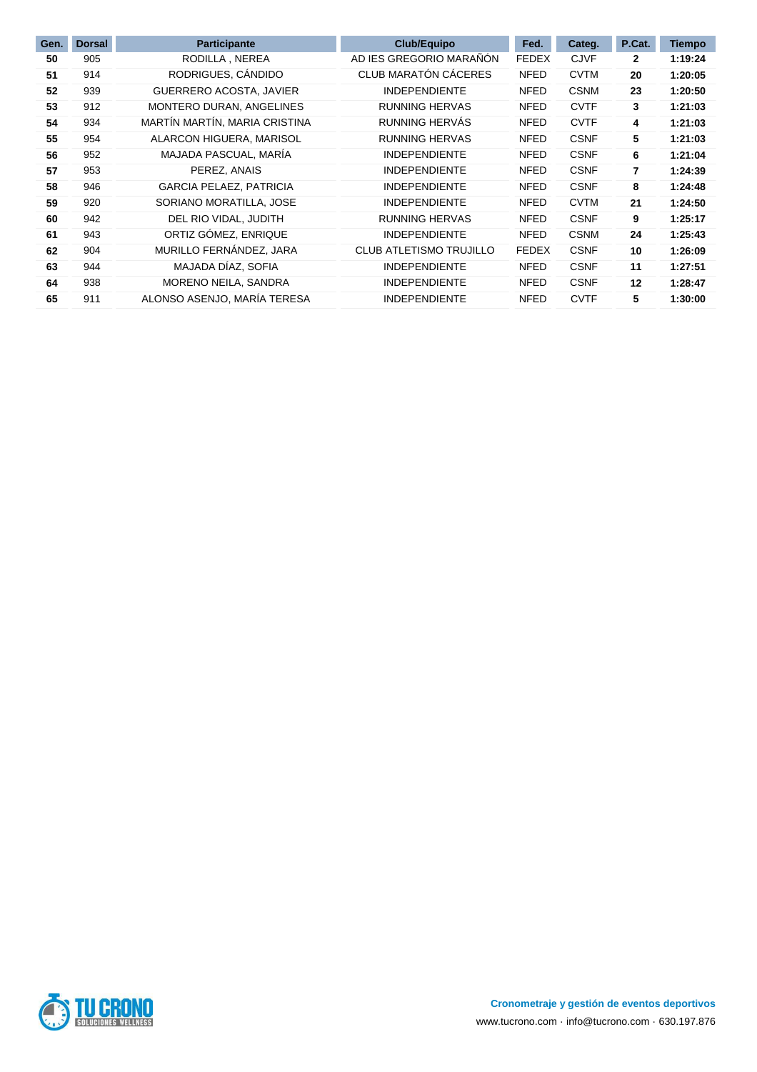| Gen. | <b>Dorsal</b> | <b>Participante</b>            | <b>Club/Equipo</b>             | Fed.         | Categ.      | P.Cat.         | <b>Tiempo</b> |
|------|---------------|--------------------------------|--------------------------------|--------------|-------------|----------------|---------------|
| 50   | 905           | RODILLA, NEREA                 | AD IES GREGORIO MARAÑÓN        | <b>FEDEX</b> | <b>CJVF</b> | 2              | 1:19:24       |
| 51   | 914           | RODRIGUES, CÁNDIDO             | CLUB MARATÓN CÁCERES           | <b>NFED</b>  | <b>CVTM</b> | 20             | 1:20:05       |
| 52   | 939           | <b>GUERRERO ACOSTA, JAVIER</b> | <b>INDEPENDIENTE</b>           | <b>NFED</b>  | <b>CSNM</b> | 23             | 1:20:50       |
| 53   | 912           | MONTERO DURAN, ANGELINES       | <b>RUNNING HERVAS</b>          | <b>NFED</b>  | <b>CVTF</b> | 3              | 1:21:03       |
| 54   | 934           | MARTÍN MARTÍN, MARIA CRISTINA  | RUNNING HERVÁS                 | <b>NFED</b>  | <b>CVTF</b> | 4              | 1:21:03       |
| 55   | 954           | ALARCON HIGUERA, MARISOL       | <b>RUNNING HERVAS</b>          | <b>NFED</b>  | <b>CSNF</b> | 5              | 1:21:03       |
| 56   | 952           | MAJADA PASCUAL, MARÍA          | <b>INDEPENDIENTE</b>           | <b>NFED</b>  | <b>CSNF</b> | 6              | 1:21:04       |
| 57   | 953           | PEREZ, ANAIS                   | <b>INDEPENDIENTE</b>           | <b>NFED</b>  | <b>CSNF</b> | $\overline{7}$ | 1:24:39       |
| 58   | 946           | <b>GARCIA PELAEZ, PATRICIA</b> | <b>INDEPENDIENTE</b>           | <b>NFED</b>  | <b>CSNF</b> | 8              | 1:24:48       |
| 59   | 920           | SORIANO MORATILLA, JOSE        | <b>INDEPENDIENTE</b>           | <b>NFED</b>  | <b>CVTM</b> | 21             | 1:24:50       |
| 60   | 942           | DEL RIO VIDAL, JUDITH          | <b>RUNNING HERVAS</b>          | <b>NFED</b>  | <b>CSNF</b> | 9              | 1:25:17       |
| 61   | 943           | ORTIZ GÓMEZ, ENRIQUE           | <b>INDEPENDIENTE</b>           | <b>NFED</b>  | <b>CSNM</b> | 24             | 1:25:43       |
| 62   | 904           | MURILLO FERNÁNDEZ, JARA        | <b>CLUB ATLETISMO TRUJILLO</b> | <b>FEDEX</b> | <b>CSNF</b> | 10             | 1:26:09       |
| 63   | 944           | MAJADA DÍAZ, SOFIA             | <b>INDEPENDIENTE</b>           | <b>NFED</b>  | <b>CSNF</b> | 11             | 1:27:51       |
| 64   | 938           | MORENO NEILA, SANDRA           | <b>INDEPENDIENTE</b>           | <b>NFED</b>  | <b>CSNF</b> | $12 \,$        | 1:28:47       |
| 65   | 911           | ALONSO ASENJO, MARÍA TERESA    | <b>INDEPENDIENTE</b>           | <b>NFED</b>  | <b>CVTF</b> | 5              | 1:30:00       |

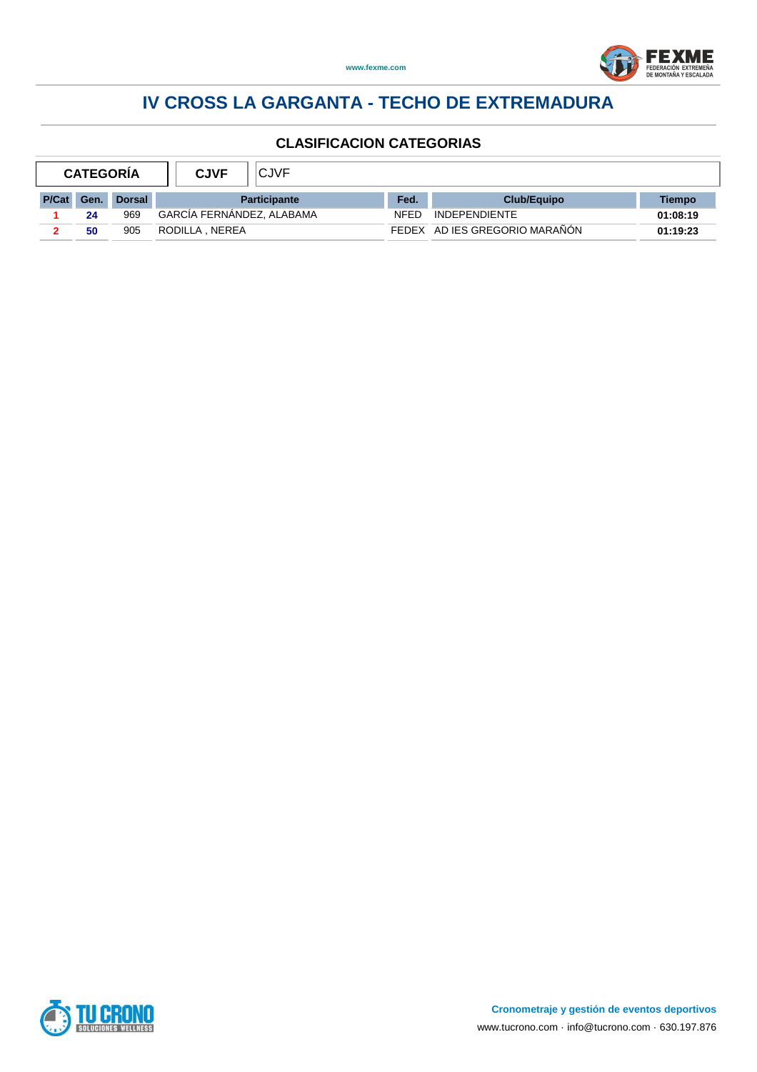



| <b>CJVF</b><br><b>CATEGORIA</b> |     |               |                           | <b>CJVF</b>         |             |                               |               |
|---------------------------------|-----|---------------|---------------------------|---------------------|-------------|-------------------------------|---------------|
| P/Cat                           | Gen | <b>Dorsal</b> |                           | <b>Participante</b> | Fed.        | <b>Club/Equipo</b>            | <b>Tiempo</b> |
|                                 | 24  | 969           | GARCÍA FERNÁNDEZ, ALABAMA |                     | <b>NFED</b> | <b>INDEPENDIENTE</b>          | 01:08:19      |
|                                 | 50  | 905           | RODILLA, NEREA            |                     |             | FEDEX AD IES GREGORIO MARAÑÓN | 01:19:23      |

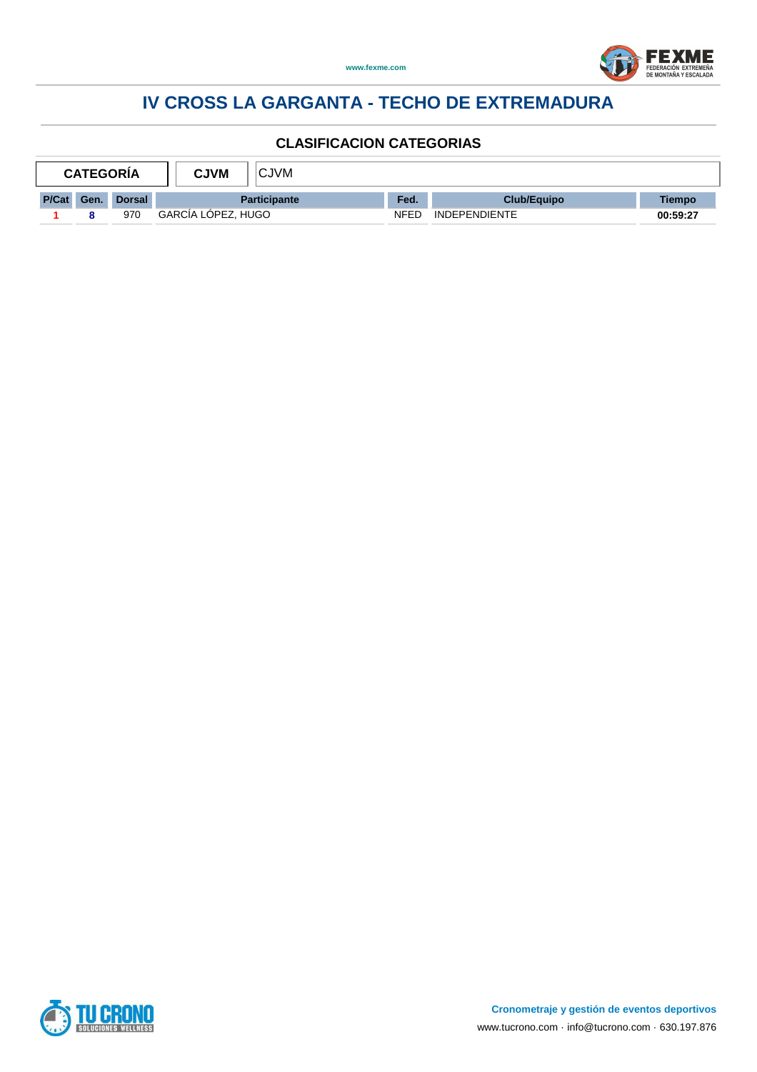

| <b>CATEGORÍA</b> |      |               | <b>CJVM</b><br><b>CJVM</b> |      |                      |          |
|------------------|------|---------------|----------------------------|------|----------------------|----------|
| P/Cat            | Gen. | <b>Dorsal</b> | <b>Participante</b>        | Fed. | <b>Club/Equipo</b>   | Tiempo   |
|                  |      | 970           | GARCÍA LÓPEZ, HUGO         | NFED | <b>INDEPENDIENTE</b> | 00:59:27 |

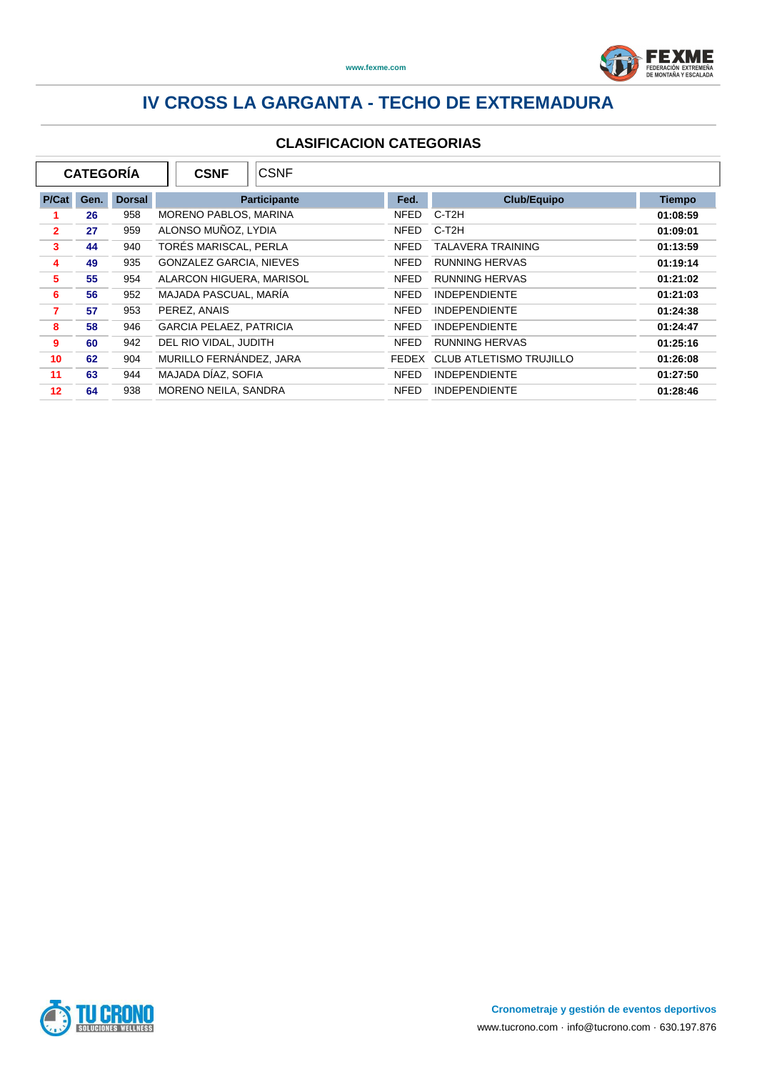

| <b>CATEGORÍA</b><br><b>CSNF</b> |      |               |                                | <b>CSNF</b>         |             |                                |               |
|---------------------------------|------|---------------|--------------------------------|---------------------|-------------|--------------------------------|---------------|
| P/Cat                           | Gen. | <b>Dorsal</b> |                                | <b>Participante</b> | Fed.        | <b>Club/Equipo</b>             | <b>Tiempo</b> |
|                                 | 26   | 958           | MORENO PABLOS, MARINA          |                     | <b>NFED</b> | C-T2H                          | 01:08:59      |
| $\overline{2}$                  | 27   | 959           | ALONSO MUÑOZ, LYDIA            |                     | <b>NFED</b> | C-T2H                          | 01:09:01      |
| 3                               | 44   | 940           | TORÉS MARISCAL, PERLA          |                     | <b>NFED</b> | <b>TALAVERA TRAINING</b>       | 01:13:59      |
| 4                               | 49   | 935           | <b>GONZALEZ GARCIA, NIEVES</b> |                     | <b>NFED</b> | <b>RUNNING HERVAS</b>          | 01:19:14      |
| 5                               | 55   | 954           | ALARCON HIGUERA, MARISOL       |                     | <b>NFED</b> | <b>RUNNING HERVAS</b>          | 01:21:02      |
| 6                               | 56   | 952           | MAJADA PASCUAL, MARÍA          |                     | <b>NFED</b> | <b>INDEPENDIENTE</b>           | 01:21:03      |
| 7                               | 57   | 953           | PEREZ, ANAIS                   |                     | NFED        | <b>INDEPENDIENTE</b>           | 01:24:38      |
| 8                               | 58   | 946           | <b>GARCIA PELAEZ, PATRICIA</b> |                     | <b>NFED</b> | <b>INDEPENDIENTE</b>           | 01:24:47      |
| 9                               | 60   | 942           | DEL RIO VIDAL, JUDITH          |                     | <b>NFED</b> | <b>RUNNING HERVAS</b>          | 01:25:16      |
| 10                              | 62   | 904           | MURILLO FERNÁNDEZ, JARA        |                     | FEDEX       | <b>CLUB ATLETISMO TRUJILLO</b> | 01:26:08      |
| 11                              | 63   | 944           | MAJADA DÍAZ. SOFIA             |                     | <b>NFED</b> | <b>INDEPENDIENTE</b>           | 01:27:50      |
| 12                              | 64   | 938           | MORENO NEILA, SANDRA           |                     | <b>NFED</b> | <b>INDEPENDIENTE</b>           | 01:28:46      |

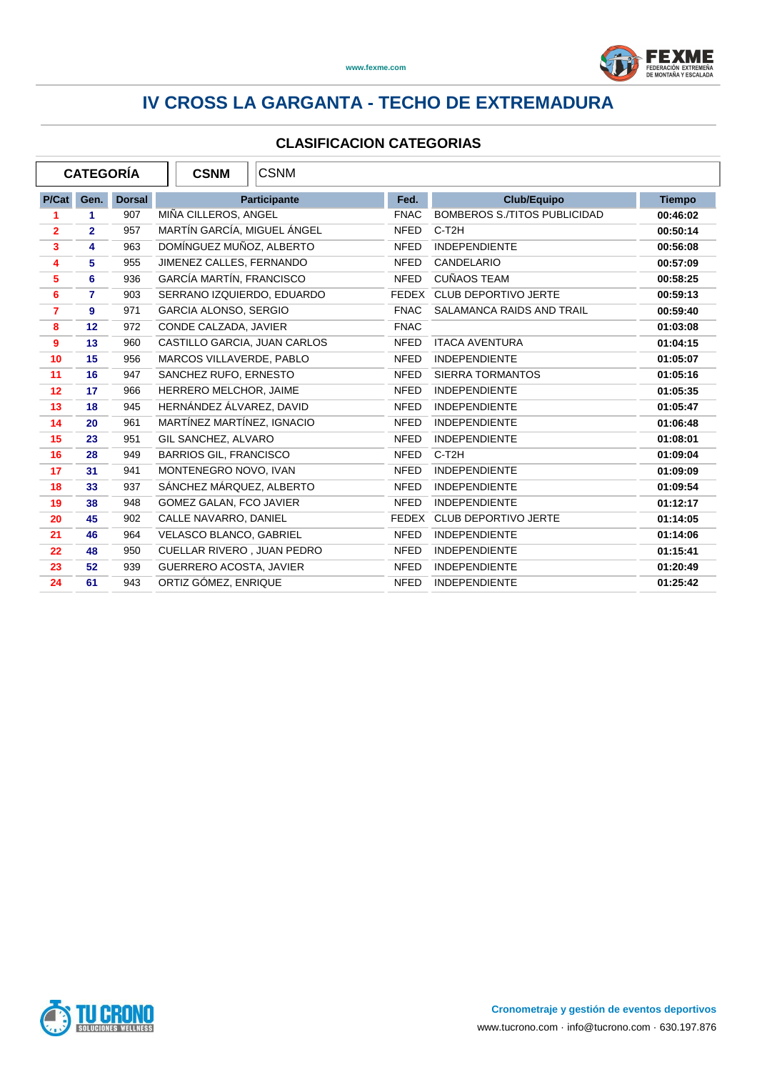

| <b>CATEGORÍA</b> |                |               | <b>CSNM</b><br><b>CSNM</b>     |              |                                     |               |
|------------------|----------------|---------------|--------------------------------|--------------|-------------------------------------|---------------|
| P/Cat            | Gen.           | <b>Dorsal</b> | Participante                   | Fed.         | <b>Club/Equipo</b>                  | <b>Tiempo</b> |
| 1                | 1              | 907           | MIÑA CILLEROS, ANGEL           | <b>FNAC</b>  | <b>BOMBEROS S./TITOS PUBLICIDAD</b> | 00:46:02      |
| $\overline{2}$   | $\overline{2}$ | 957           | MARTÍN GARCÍA, MIGUEL ÁNGEL    | <b>NFED</b>  | C-T <sub>2</sub> H                  | 00:50:14      |
| 3                | 4              | 963           | DOMÍNGUEZ MUÑOZ, ALBERTO       | <b>NFED</b>  | <b>INDEPENDIENTE</b>                | 00:56:08      |
| 4                | 5              | 955           | JIMENEZ CALLES, FERNANDO       | <b>NFED</b>  | CANDELARIO                          | 00:57:09      |
| 5                | 6              | 936           | GARCÍA MARTÍN, FRANCISCO       | <b>NFED</b>  | <b>CUÑAOS TEAM</b>                  | 00:58:25      |
| 6                | $\overline{7}$ | 903           | SERRANO IZQUIERDO, EDUARDO     | FEDEX        | <b>CLUB DEPORTIVO JERTE</b>         | 00:59:13      |
| $\overline{7}$   | 9              | 971           | <b>GARCIA ALONSO, SERGIO</b>   | <b>FNAC</b>  | SALAMANCA RAIDS AND TRAIL           | 00:59:40      |
| 8                | 12             | 972           | CONDE CALZADA, JAVIER          | <b>FNAC</b>  |                                     | 01:03:08      |
| 9                | 13             | 960           | CASTILLO GARCIA, JUAN CARLOS   | <b>NFED</b>  | <b>ITACA AVENTURA</b>               | 01:04:15      |
| 10               | 15             | 956           | MARCOS VILLAVERDE, PABLO       | <b>NFED</b>  | <b>INDEPENDIENTE</b>                | 01:05:07      |
| 11               | 16             | 947           | SANCHEZ RUFO, ERNESTO          | <b>NFED</b>  | <b>SIERRA TORMANTOS</b>             | 01:05:16      |
| 12               | 17             | 966           | HERRERO MELCHOR, JAIME         | <b>NFED</b>  | <b>INDEPENDIENTE</b>                | 01:05:35      |
| 13               | 18             | 945           | HERNÁNDEZ ÁLVAREZ. DAVID       | <b>NFED</b>  | <b>INDEPENDIENTE</b>                | 01:05:47      |
| 14               | 20             | 961           | MARTÍNEZ MARTÍNEZ, IGNACIO     | <b>NFED</b>  | <b>INDEPENDIENTE</b>                | 01:06:48      |
| 15               | 23             | 951           | GIL SANCHEZ, ALVARO            | <b>NFED</b>  | <b>INDEPENDIENTE</b>                | 01:08:01      |
| 16               | 28             | 949           | <b>BARRIOS GIL, FRANCISCO</b>  | <b>NFED</b>  | C-T <sub>2</sub> H                  | 01:09:04      |
| 17               | 31             | 941           | MONTENEGRO NOVO, IVAN          | <b>NFED</b>  | <b>INDEPENDIENTE</b>                | 01:09:09      |
| 18               | 33             | 937           | SÁNCHEZ MÁRQUEZ, ALBERTO       | <b>NFED</b>  | <b>INDEPENDIENTE</b>                | 01:09:54      |
| 19               | 38             | 948           | <b>GOMEZ GALAN, FCO JAVIER</b> | <b>NFED</b>  | <b>INDEPENDIENTE</b>                | 01:12:17      |
| 20               | 45             | 902           | CALLE NAVARRO, DANIEL          | <b>FEDEX</b> | <b>CLUB DEPORTIVO JERTE</b>         | 01:14:05      |
| 21               | 46             | 964           | <b>VELASCO BLANCO, GABRIEL</b> | <b>NFED</b>  | <b>INDEPENDIENTE</b>                | 01:14:06      |
| 22               | 48             | 950           | CUELLAR RIVERO, JUAN PEDRO     | <b>NFED</b>  | <b>INDEPENDIENTE</b>                | 01:15:41      |
| 23               | 52             | 939           | <b>GUERRERO ACOSTA, JAVIER</b> | <b>NFED</b>  | <b>INDEPENDIENTE</b>                | 01:20:49      |
| 24               | 61             | 943           | ORTIZ GÓMEZ, ENRIQUE           | <b>NFED</b>  | <b>INDEPENDIENTE</b>                | 01:25:42      |

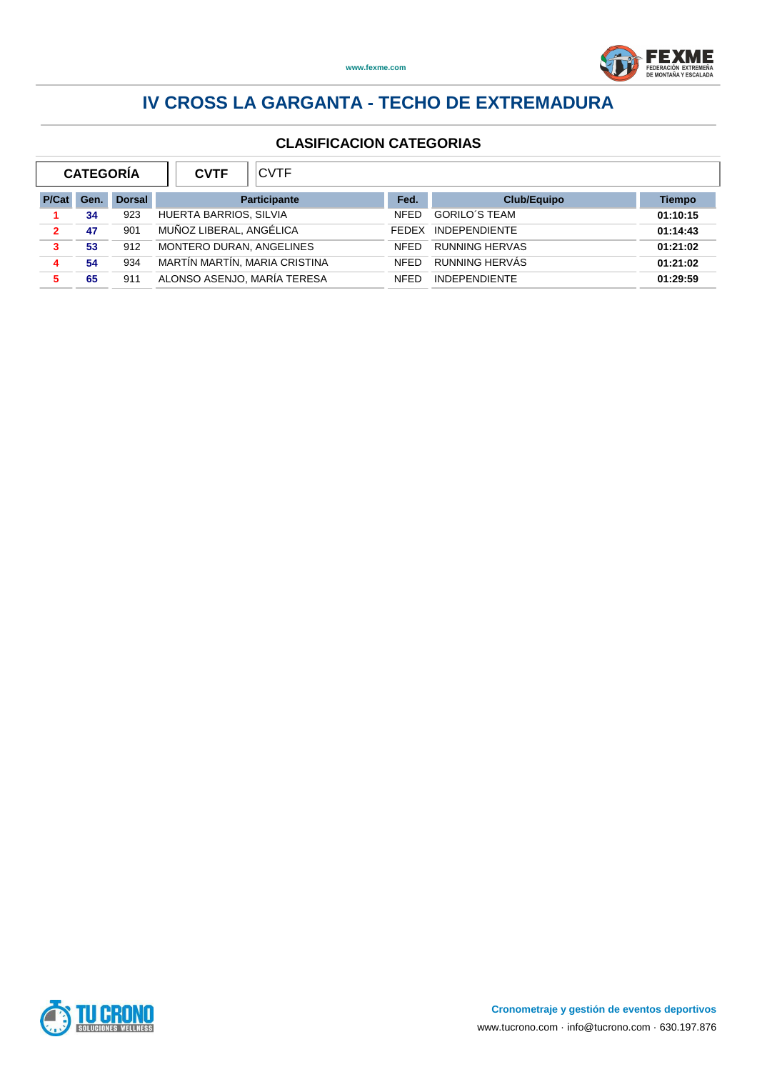

| <b>CATEGORÍA</b> |      |               | <b>CVTF</b><br><b>CVTF</b>    |             |                       |               |
|------------------|------|---------------|-------------------------------|-------------|-----------------------|---------------|
| P/Cat            | Gen. | <b>Dorsal</b> | <b>Participante</b>           | Fed.        | <b>Club/Equipo</b>    | <b>Tiempo</b> |
| 1.               | 34   | 923           | HUERTA BARRIOS, SILVIA        | <b>NFED</b> | <b>GORILO'S TEAM</b>  | 01:10:15      |
| $\overline{2}$   | 47   | 901           | MUÑOZ LIBERAL, ANGÉLICA       |             | FEDEX INDEPENDIENTE   | 01:14:43      |
| 3                | 53   | 912           | MONTERO DURAN, ANGELINES      | <b>NFFD</b> | <b>RUNNING HERVAS</b> | 01:21:02      |
| 4                | 54   | 934           | MARTÍN MARTÍN, MARIA CRISTINA | <b>NFED</b> | RUNNING HERVÁS        | 01:21:02      |
|                  | 65   | 911           | ALONSO ASENJO, MARÍA TERESA   | <b>NFFD</b> | <b>INDEPENDIENTE</b>  | 01:29:59      |